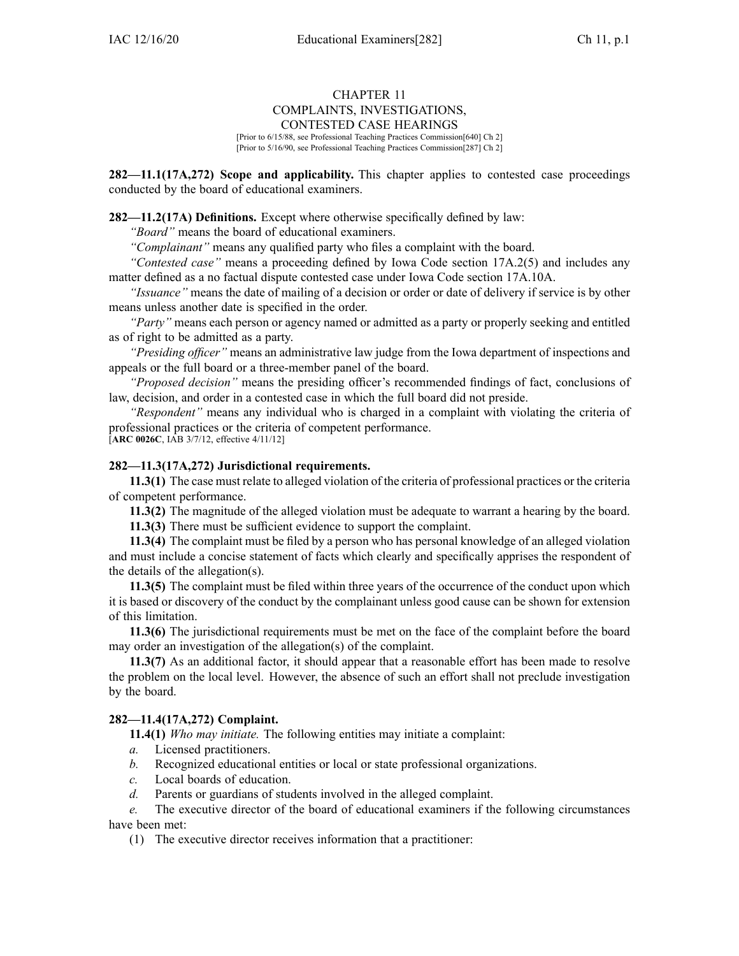## CHAPTER 11 COMPLAINTS, INVESTIGATIONS, CONTESTED CASE HEARINGS

[Prior to 6/15/88, see Professional Teaching Practices Commission[640] Ch 2] [Prior to 5/16/90, see Professional Teaching Practices Commission[287] Ch 2]

**282—11.1(17A,272) Scope and applicability.** This chapter applies to contested case proceedings conducted by the board of educational examiners.

**282—11.2(17A) Definitions.** Except where otherwise specifically defined by law:

*"Board"* means the board of educational examiners.

*"Complainant"* means any qualified party who files <sup>a</sup> complaint with the board.

*"Contested case"* means <sup>a</sup> proceeding defined by Iowa Code section [17A.2\(5\)](https://www.legis.iowa.gov/docs/ico/section/17A.2.pdf) and includes any matter defined as <sup>a</sup> no factual dispute contested case under Iowa Code section [17A.10A](https://www.legis.iowa.gov/docs/ico/section/17A.10A.pdf).

*"Issuance"* means the date of mailing of <sup>a</sup> decision or order or date of delivery if service is by other means unless another date is specified in the order.

*"Party"* means each person or agency named or admitted as <sup>a</sup> party or properly seeking and entitled as of right to be admitted as <sup>a</sup> party.

*"Presiding officer"* means an administrative law judge from the Iowa department of inspections and appeals or the full board or <sup>a</sup> three-member panel of the board.

*"Proposed decision"* means the presiding officer's recommended findings of fact, conclusions of law, decision, and order in <sup>a</sup> contested case in which the full board did not preside.

*"Respondent"* means any individual who is charged in <sup>a</sup> complaint with violating the criteria of professional practices or the criteria of competent performance.

[**ARC [0026C](https://www.legis.iowa.gov/docs/aco/arc/0026C.pdf)**, IAB 3/7/12, effective 4/11/12]

# **282—11.3(17A,272) Jurisdictional requirements.**

**11.3(1)** The case must relate to alleged violation of the criteria of professional practices or the criteria of competent performance.

**11.3(2)** The magnitude of the alleged violation must be adequate to warrant <sup>a</sup> hearing by the board.

**11.3(3)** There must be sufficient evidence to suppor<sup>t</sup> the complaint.

**11.3(4)** The complaint must be filed by <sup>a</sup> person who has personal knowledge of an alleged violation and must include <sup>a</sup> concise statement of facts which clearly and specifically apprises the respondent of the details of the allegation(s).

**11.3(5)** The complaint must be filed within three years of the occurrence of the conduct upon which it is based or discovery of the conduct by the complainant unless good cause can be shown for extension of this limitation.

**11.3(6)** The jurisdictional requirements must be met on the face of the complaint before the board may order an investigation of the allegation(s) of the complaint.

**11.3(7)** As an additional factor, it should appear that <sup>a</sup> reasonable effort has been made to resolve the problem on the local level. However, the absence of such an effort shall not preclude investigation by the board.

## **282—11.4(17A,272) Complaint.**

**11.4(1)** *Who may initiate.* The following entities may initiate <sup>a</sup> complaint:

- *a.* Licensed practitioners.
- *b.* Recognized educational entities or local or state professional organizations.
- *c.* Local boards of education.
- *d.* Parents or guardians of students involved in the alleged complaint.

*e.* The executive director of the board of educational examiners if the following circumstances have been met:

(1) The executive director receives information that <sup>a</sup> practitioner: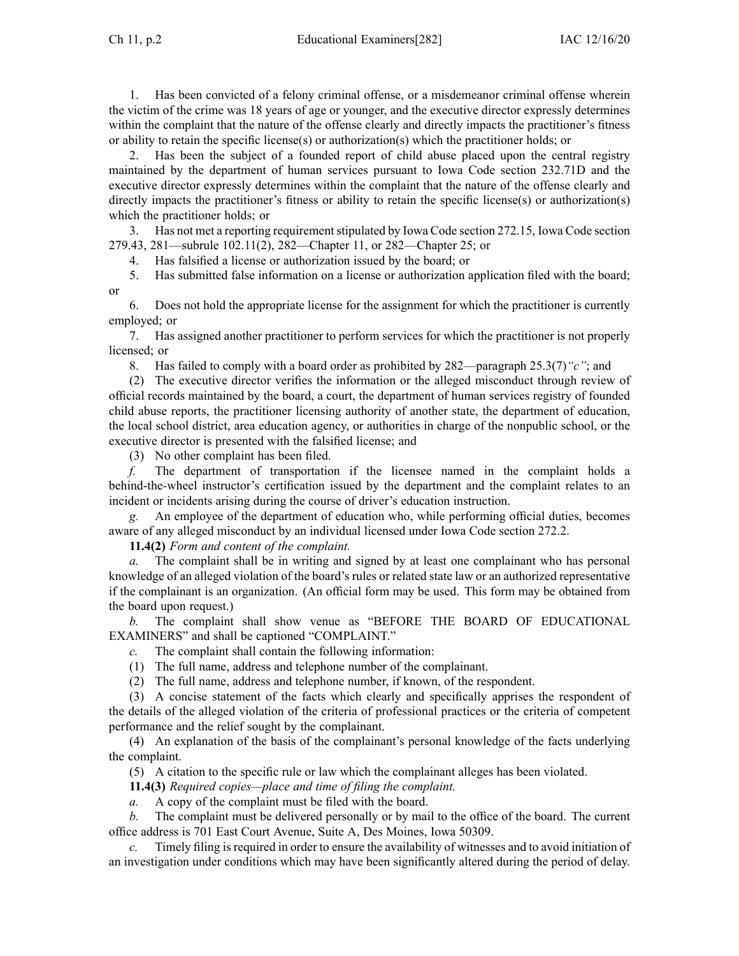1. Has been convicted of <sup>a</sup> felony criminal offense, or <sup>a</sup> misdemeanor criminal offense wherein the victim of the crime was 18 years of age or younger, and the executive director expressly determines within the complaint that the nature of the offense clearly and directly impacts the practitioner's fitness or ability to retain the specific license(s) or authorization(s) which the practitioner holds; or

2. Has been the subject of <sup>a</sup> founded repor<sup>t</sup> of child abuse placed upon the central registry maintained by the department of human services pursuan<sup>t</sup> to Iowa Code section [232.71D](https://www.legis.iowa.gov/docs/ico/section/232.71D.pdf) and the executive director expressly determines within the complaint that the nature of the offense clearly and directly impacts the practitioner's fitness or ability to retain the specific license(s) or authorization(s) which the practitioner holds; or

3. Has not met <sup>a</sup> reporting requirementstipulated by Iowa Code section [272.15](https://www.legis.iowa.gov/docs/ico/section/272.15.pdf), Iowa Code section [279.43](https://www.legis.iowa.gov/docs/ico/section/279.43.pdf), 281—subrule 102.11(2), 282—Chapter 11, or 282—Chapter 25; or

4. Has falsified <sup>a</sup> license or authorization issued by the board; or

5. Has submitted false information on <sup>a</sup> license or authorization application filed with the board; or

6. Does not hold the appropriate license for the assignment for which the practitioner is currently employed; or

7. Has assigned another practitioner to perform services for which the practitioner is not properly licensed; or

8. Has failed to comply with <sup>a</sup> board order as prohibited by 282—paragraph 25.3(7)*"c"*; and

(2) The executive director verifies the information or the alleged misconduct through review of official records maintained by the board, <sup>a</sup> court, the department of human services registry of founded child abuse reports, the practitioner licensing authority of another state, the department of education, the local school district, area education agency, or authorities in charge of the nonpublic school, or the executive director is presented with the falsified license; and

(3) No other complaint has been filed.

*f.* The department of transportation if the licensee named in the complaint holds <sup>a</sup> behind-the-wheel instructor's certification issued by the department and the complaint relates to an incident or incidents arising during the course of driver's education instruction.

*g.* An employee of the department of education who, while performing official duties, becomes aware of any alleged misconduct by an individual licensed under Iowa Code section [272.2](https://www.legis.iowa.gov/docs/ico/section/272.2.pdf).

**11.4(2)** *Form and content of the complaint.*

*a.* The complaint shall be in writing and signed by at least one complainant who has personal knowledge of an alleged violation of the board's rules or related state law or an authorized representative if the complainant is an organization. (An official form may be used. This form may be obtained from the board upon request.)

*b.* The complaint shall show venue as "BEFORE THE BOARD OF EDUCATIONAL EXAMINERS" and shall be captioned "COMPLAINT."

*c.* The complaint shall contain the following information:

(1) The full name, address and telephone number of the complainant.

(2) The full name, address and telephone number, if known, of the respondent.

(3) A concise statement of the facts which clearly and specifically apprises the respondent of the details of the alleged violation of the criteria of professional practices or the criteria of competent performance and the relief sought by the complainant.

(4) An explanation of the basis of the complainant's personal knowledge of the facts underlying the complaint.

(5) A citation to the specific rule or law which the complainant alleges has been violated.

**11.4(3)** *Required copies—place and time of filing the complaint.*

*a.* A copy of the complaint must be filed with the board.

*b.* The complaint must be delivered personally or by mail to the office of the board. The current office address is 701 East Court Avenue, Suite A, Des Moines, Iowa 50309.

Timely filing is required in order to ensure the availability of witnesses and to avoid initiation of an investigation under conditions which may have been significantly altered during the period of delay.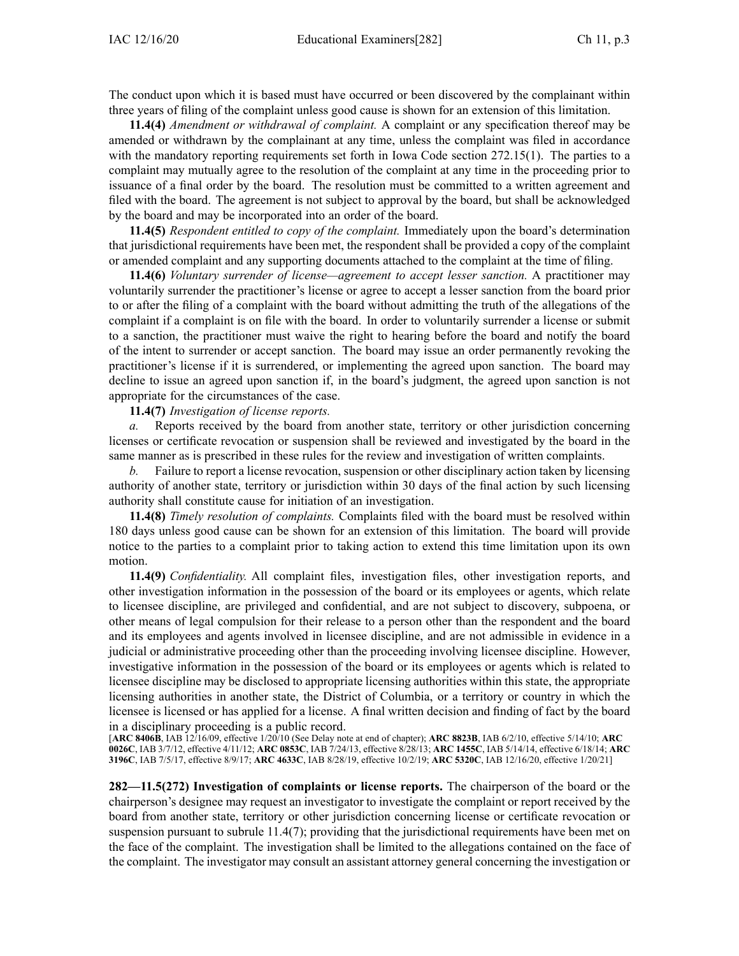The conduct upon which it is based must have occurred or been discovered by the complainant within three years of filing of the complaint unless good cause is shown for an extension of this limitation.

**11.4(4)** *Amendment or withdrawal of complaint.* A complaint or any specification thereof may be amended or withdrawn by the complainant at any time, unless the complaint was filed in accordance with the mandatory reporting requirements set forth in Iowa Code section [272.15\(1\)](https://www.legis.iowa.gov/docs/ico/section/2017/272.15.pdf). The parties to <sup>a</sup> complaint may mutually agree to the resolution of the complaint at any time in the proceeding prior to issuance of <sup>a</sup> final order by the board. The resolution must be committed to <sup>a</sup> written agreemen<sup>t</sup> and filed with the board. The agreemen<sup>t</sup> is not subject to approval by the board, but shall be acknowledged by the board and may be incorporated into an order of the board.

**11.4(5)** *Respondent entitled to copy of the complaint.* Immediately upon the board's determination that jurisdictional requirements have been met, the respondent shall be provided <sup>a</sup> copy of the complaint or amended complaint and any supporting documents attached to the complaint at the time of filing.

**11.4(6)** *Voluntary surrender of license—agreement to accep<sup>t</sup> lesser sanction.* A practitioner may voluntarily surrender the practitioner's license or agree to accep<sup>t</sup> <sup>a</sup> lesser sanction from the board prior to or after the filing of <sup>a</sup> complaint with the board without admitting the truth of the allegations of the complaint if <sup>a</sup> complaint is on file with the board. In order to voluntarily surrender <sup>a</sup> license or submit to <sup>a</sup> sanction, the practitioner must waive the right to hearing before the board and notify the board of the intent to surrender or accep<sup>t</sup> sanction. The board may issue an order permanently revoking the practitioner's license if it is surrendered, or implementing the agreed upon sanction. The board may decline to issue an agreed upon sanction if, in the board's judgment, the agreed upon sanction is not appropriate for the circumstances of the case.

**11.4(7)** *Investigation of license reports.*

*a.* Reports received by the board from another state, territory or other jurisdiction concerning licenses or certificate revocation or suspension shall be reviewed and investigated by the board in the same manner as is prescribed in these rules for the review and investigation of written complaints.

Failure to report a license revocation, suspension or other disciplinary action taken by licensing authority of another state, territory or jurisdiction within 30 days of the final action by such licensing authority shall constitute cause for initiation of an investigation.

**11.4(8)** *Timely resolution of complaints.* Complaints filed with the board must be resolved within 180 days unless good cause can be shown for an extension of this limitation. The board will provide notice to the parties to <sup>a</sup> complaint prior to taking action to extend this time limitation upon its own motion.

**11.4(9)** *Confidentiality.* All complaint files, investigation files, other investigation reports, and other investigation information in the possession of the board or its employees or agents, which relate to licensee discipline, are privileged and confidential, and are not subject to discovery, subpoena, or other means of legal compulsion for their release to <sup>a</sup> person other than the respondent and the board and its employees and agents involved in licensee discipline, and are not admissible in evidence in <sup>a</sup> judicial or administrative proceeding other than the proceeding involving licensee discipline. However, investigative information in the possession of the board or its employees or agents which is related to licensee discipline may be disclosed to appropriate licensing authorities within this state, the appropriate licensing authorities in another state, the District of Columbia, or <sup>a</sup> territory or country in which the licensee is licensed or has applied for <sup>a</sup> license. A final written decision and finding of fact by the board in <sup>a</sup> disciplinary proceeding is <sup>a</sup> public record.

[**ARC [8406B](https://www.legis.iowa.gov/docs/aco/arc/8406B.pdf)**, IAB 12/16/09, effective 1/20/10 (See Delay note at end of chapter); **ARC [8823B](https://www.legis.iowa.gov/docs/aco/arc/8823B.pdf)**, IAB 6/2/10, effective 5/14/10; **[ARC](https://www.legis.iowa.gov/docs/aco/arc/0026C.pdf) [0026C](https://www.legis.iowa.gov/docs/aco/arc/0026C.pdf)**, IAB 3/7/12, effective 4/11/12; **ARC [0853C](https://www.legis.iowa.gov/docs/aco/arc/0853C.pdf)**, IAB 7/24/13, effective 8/28/13; **ARC [1455C](https://www.legis.iowa.gov/docs/aco/arc/1455C.pdf)**, IAB 5/14/14, effective 6/18/14; **[ARC](https://www.legis.iowa.gov/docs/aco/arc/3196C.pdf) [3196C](https://www.legis.iowa.gov/docs/aco/arc/3196C.pdf)**, IAB 7/5/17, effective 8/9/17; **ARC [4633C](https://www.legis.iowa.gov/docs/aco/arc/4633C.pdf)**, IAB 8/28/19, effective 10/2/19; **ARC [5320C](https://www.legis.iowa.gov/docs/aco/arc/5320C.pdf)**, IAB 12/16/20, effective 1/20/21]

**282—11.5(272) Investigation of complaints or license reports.** The chairperson of the board or the chairperson's designee may reques<sup>t</sup> an investigator to investigate the complaint or repor<sup>t</sup> received by the board from another state, territory or other jurisdiction concerning license or certificate revocation or suspension pursuan<sup>t</sup> to subrule [11.4\(7\)](https://www.legis.iowa.gov/docs/iac/rule/282.11.4.pdf); providing that the jurisdictional requirements have been met on the face of the complaint. The investigation shall be limited to the allegations contained on the face of the complaint. The investigator may consult an assistant attorney general concerning the investigation or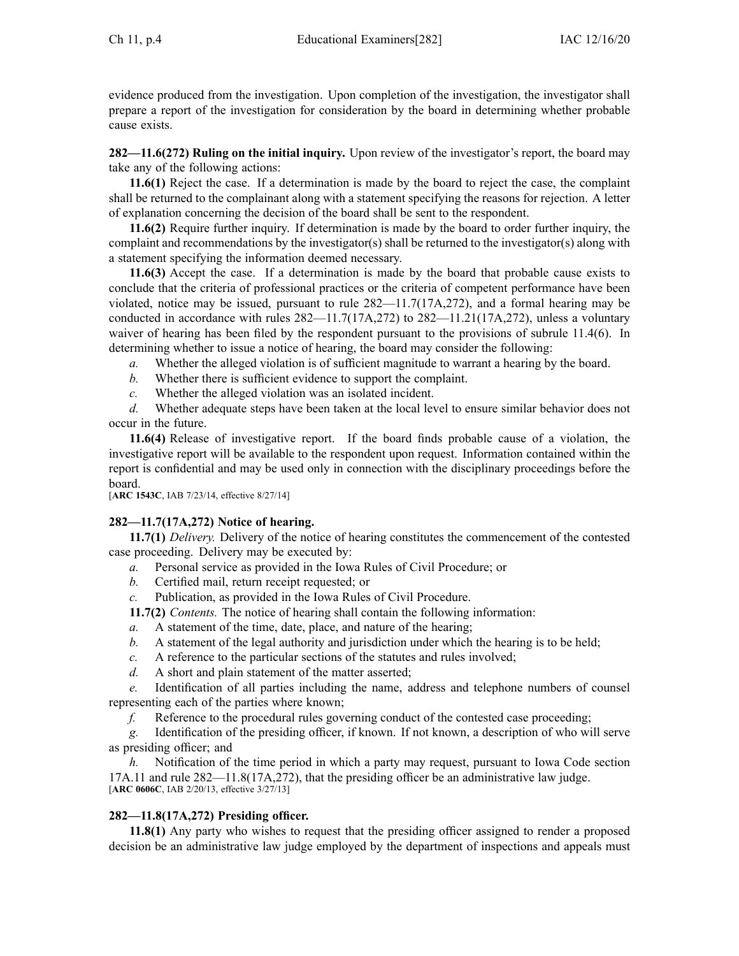evidence produced from the investigation. Upon completion of the investigation, the investigator shall prepare <sup>a</sup> repor<sup>t</sup> of the investigation for consideration by the board in determining whether probable cause exists.

**282—11.6(272) Ruling on the initial inquiry.** Upon review of the investigator's report, the board may take any of the following actions:

**11.6(1)** Reject the case. If <sup>a</sup> determination is made by the board to reject the case, the complaint shall be returned to the complainant along with <sup>a</sup> statement specifying the reasons for rejection. A letter of explanation concerning the decision of the board shall be sent to the respondent.

**11.6(2)** Require further inquiry. If determination is made by the board to order further inquiry, the complaint and recommendations by the investigator(s) shall be returned to the investigator(s) along with <sup>a</sup> statement specifying the information deemed necessary.

**11.6(3)** Accept the case. If <sup>a</sup> determination is made by the board that probable cause exists to conclude that the criteria of professional practices or the criteria of competent performance have been violated, notice may be issued, pursuan<sup>t</sup> to rule [282—11.7\(17A,272\)](https://www.legis.iowa.gov/docs/iac/rule/282.11.7.pdf), and <sup>a</sup> formal hearing may be conducted in accordance with rules [282—11.7\(17A,272\)](https://www.legis.iowa.gov/docs/iac/rule/282.11.7.pdf) to [282—11.21\(17A,272\)](https://www.legis.iowa.gov/docs/iac/rule/282.11.21.pdf), unless <sup>a</sup> voluntary waiver of hearing has been filed by the respondent pursuan<sup>t</sup> to the provisions of subrule [11.4\(6\)](https://www.legis.iowa.gov/docs/iac/rule/282.11.4.pdf). In determining whether to issue <sup>a</sup> notice of hearing, the board may consider the following:

*a.* Whether the alleged violation is of sufficient magnitude to warrant <sup>a</sup> hearing by the board.

- *b.* Whether there is sufficient evidence to suppor<sup>t</sup> the complaint.
- *c.* Whether the alleged violation was an isolated incident.

*d.* Whether adequate steps have been taken at the local level to ensure similar behavior does not occur in the future.

**11.6(4)** Release of investigative report. If the board finds probable cause of <sup>a</sup> violation, the investigative repor<sup>t</sup> will be available to the respondent upon request. Information contained within the repor<sup>t</sup> is confidential and may be used only in connection with the disciplinary proceedings before the board.

[**ARC [1543C](https://www.legis.iowa.gov/docs/aco/arc/1543C.pdf)**, IAB 7/23/14, effective 8/27/14]

# **282—11.7(17A,272) Notice of hearing.**

**11.7(1)** *Delivery.* Delivery of the notice of hearing constitutes the commencement of the contested case proceeding. Delivery may be executed by:

- *a.* Personal service as provided in the Iowa Rules of Civil Procedure; or
- *b.* Certified mail, return receipt requested; or
- *c.* Publication, as provided in the Iowa Rules of Civil Procedure.
- **11.7(2)** *Contents.* The notice of hearing shall contain the following information:
- *a.* A statement of the time, date, place, and nature of the hearing;
- *b.* A statement of the legal authority and jurisdiction under which the hearing is to be held;
- *c.* A reference to the particular sections of the statutes and rules involved;
- *d.* A short and plain statement of the matter asserted;

*e.* Identification of all parties including the name, address and telephone numbers of counsel representing each of the parties where known;

*f.* Reference to the procedural rules governing conduct of the contested case proceeding;

*g.* Identification of the presiding officer, if known. If not known, <sup>a</sup> description of who will serve as presiding officer; and

*h.* Notification of the time period in which <sup>a</sup> party may request, pursuan<sup>t</sup> to Iowa Code section [17A.11](https://www.legis.iowa.gov/docs/ico/section/17A.11.pdf) and rule [282—11.8\(17A,272\)](https://www.legis.iowa.gov/docs/iac/rule/282.11.8.pdf), that the presiding officer be an administrative law judge. [**ARC [0606C](https://www.legis.iowa.gov/docs/aco/arc/0606C.pdf)**, IAB 2/20/13, effective 3/27/13]

## **282—11.8(17A,272) Presiding officer.**

**11.8(1)** Any party who wishes to reques<sup>t</sup> that the presiding officer assigned to render <sup>a</sup> proposed decision be an administrative law judge employed by the department of inspections and appeals must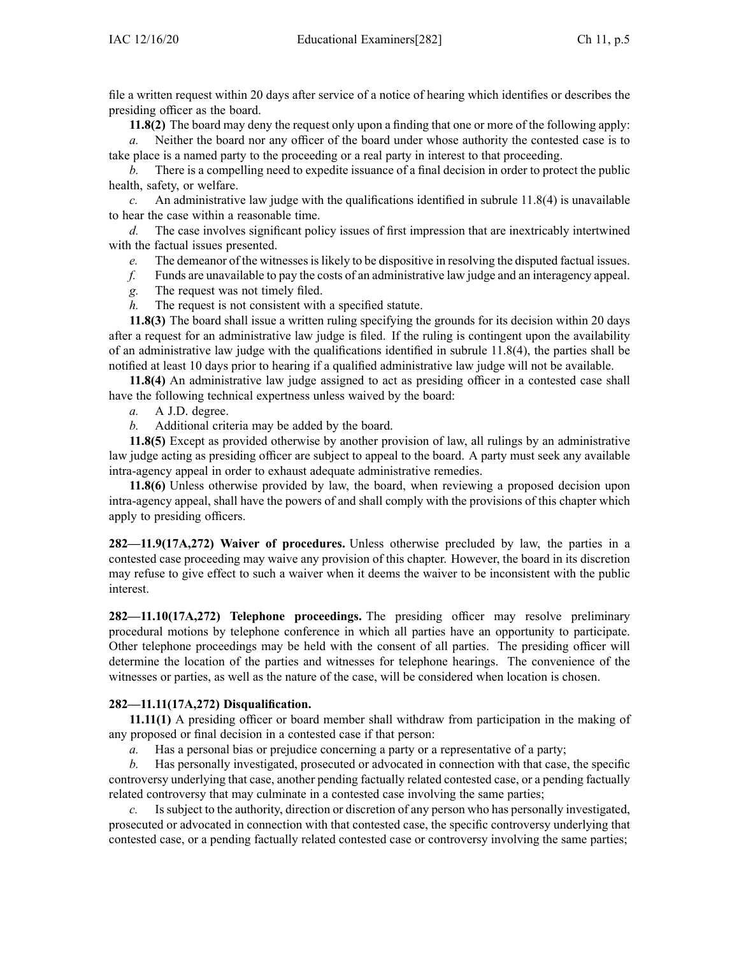file <sup>a</sup> written reques<sup>t</sup> within 20 days after service of <sup>a</sup> notice of hearing which identifies or describes the presiding officer as the board.

**11.8(2)** The board may deny the reques<sup>t</sup> only upon <sup>a</sup> finding that one or more of the following apply:

*a.* Neither the board nor any officer of the board under whose authority the contested case is to take place is <sup>a</sup> named party to the proceeding or <sup>a</sup> real party in interest to that proceeding.

*b.* There is <sup>a</sup> compelling need to expedite issuance of <sup>a</sup> final decision in order to protect the public health, safety, or welfare.

*c.* An administrative law judge with the qualifications identified in subrule [11.8\(4\)](https://www.legis.iowa.gov/docs/iac/rule/282.11.8.pdf) is unavailable to hear the case within <sup>a</sup> reasonable time.

*d.* The case involves significant policy issues of first impression that are inextricably intertwined with the factual issues presented.

*e.* The demeanor of the witnessesislikely to be dispositive in resolving the disputed factual issues.

- *f.* Funds are unavailable to pay the costs of an administrative law judge and an interagency appeal.
- *g.* The reques<sup>t</sup> was not timely filed.
- *h.* The reques<sup>t</sup> is not consistent with <sup>a</sup> specified statute.

**11.8(3)** The board shall issue <sup>a</sup> written ruling specifying the grounds for its decision within 20 days after <sup>a</sup> reques<sup>t</sup> for an administrative law judge is filed. If the ruling is contingent upon the availability of an administrative law judge with the qualifications identified in subrule [11.8\(4\)](https://www.legis.iowa.gov/docs/iac/rule/282.11.8.pdf), the parties shall be notified at least 10 days prior to hearing if <sup>a</sup> qualified administrative law judge will not be available.

**11.8(4)** An administrative law judge assigned to act as presiding officer in <sup>a</sup> contested case shall have the following technical expertness unless waived by the board:

- *a.* A J.D. degree.
- *b.* Additional criteria may be added by the board.

**11.8(5)** Except as provided otherwise by another provision of law, all rulings by an administrative law judge acting as presiding officer are subject to appeal to the board. A party must seek any available intra-agency appeal in order to exhaust adequate administrative remedies.

**11.8(6)** Unless otherwise provided by law, the board, when reviewing <sup>a</sup> proposed decision upon intra-agency appeal, shall have the powers of and shall comply with the provisions of this chapter which apply to presiding officers.

**282—11.9(17A,272) Waiver of procedures.** Unless otherwise precluded by law, the parties in <sup>a</sup> contested case proceeding may waive any provision of this chapter. However, the board in its discretion may refuse to give effect to such <sup>a</sup> waiver when it deems the waiver to be inconsistent with the public interest.

**282—11.10(17A,272) Telephone proceedings.** The presiding officer may resolve preliminary procedural motions by telephone conference in which all parties have an opportunity to participate. Other telephone proceedings may be held with the consent of all parties. The presiding officer will determine the location of the parties and witnesses for telephone hearings. The convenience of the witnesses or parties, as well as the nature of the case, will be considered when location is chosen.

# **282—11.11(17A,272) Disqualification.**

**11.11(1)** A presiding officer or board member shall withdraw from participation in the making of any proposed or final decision in <sup>a</sup> contested case if that person:

*a.* Has <sup>a</sup> personal bias or prejudice concerning <sup>a</sup> party or <sup>a</sup> representative of <sup>a</sup> party;

*b.* Has personally investigated, prosecuted or advocated in connection with that case, the specific controversy underlying that case, another pending factually related contested case, or <sup>a</sup> pending factually related controversy that may culminate in <sup>a</sup> contested case involving the same parties;

*c.* Issubject to the authority, direction or discretion of any person who has personally investigated, prosecuted or advocated in connection with that contested case, the specific controversy underlying that contested case, or <sup>a</sup> pending factually related contested case or controversy involving the same parties;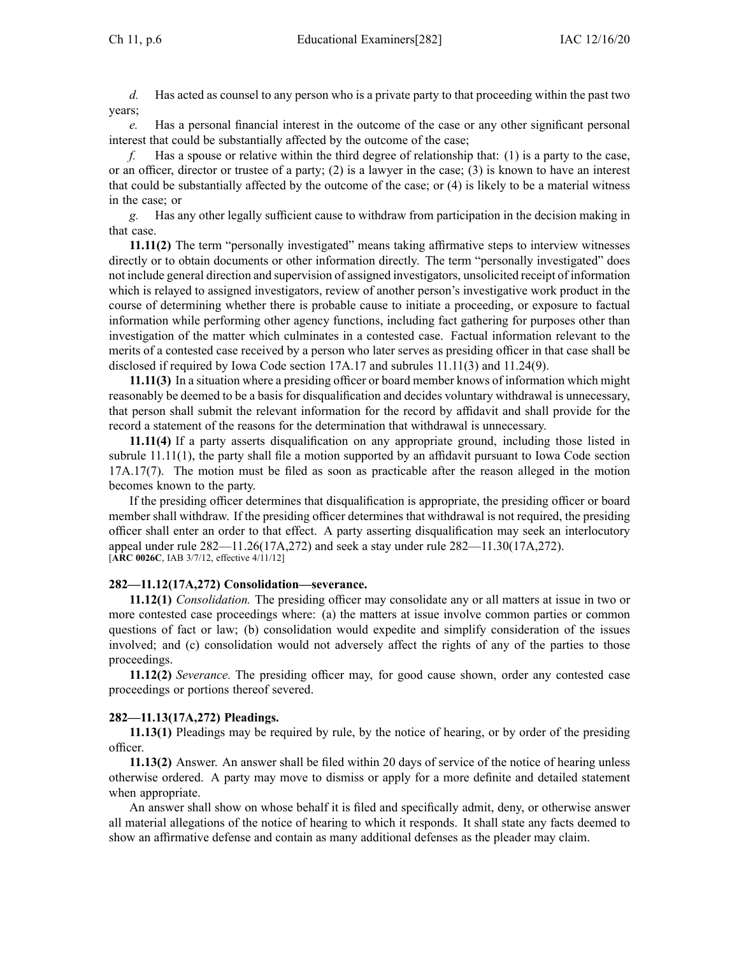*d.* Has acted as counsel to any person who is <sup>a</sup> private party to that proceeding within the pas<sup>t</sup> two years;

*e.* Has <sup>a</sup> personal financial interest in the outcome of the case or any other significant personal interest that could be substantially affected by the outcome of the case;

*f.* Has <sup>a</sup> spouse or relative within the third degree of relationship that: (1) is <sup>a</sup> party to the case, or an officer, director or trustee of <sup>a</sup> party; (2) is <sup>a</sup> lawyer in the case; (3) is known to have an interest that could be substantially affected by the outcome of the case; or (4) is likely to be <sup>a</sup> material witness in the case; or

*g.* Has any other legally sufficient cause to withdraw from participation in the decision making in that case.

**11.11(2)** The term "personally investigated" means taking affirmative steps to interview witnesses directly or to obtain documents or other information directly. The term "personally investigated" does not include general direction and supervision of assigned investigators, unsolicited receipt of information which is relayed to assigned investigators, review of another person's investigative work product in the course of determining whether there is probable cause to initiate <sup>a</sup> proceeding, or exposure to factual information while performing other agency functions, including fact gathering for purposes other than investigation of the matter which culminates in <sup>a</sup> contested case. Factual information relevant to the merits of <sup>a</sup> contested case received by <sup>a</sup> person who later serves as presiding officer in that case shall be disclosed if required by Iowa Code section [17A.17](https://www.legis.iowa.gov/docs/ico/section/17A.17.pdf) and subrules [11.11\(3\)](https://www.legis.iowa.gov/docs/iac/rule/282.11.11.pdf) and [11.24\(9\)](https://www.legis.iowa.gov/docs/iac/rule/282.11.24.pdf).

**11.11(3)** In <sup>a</sup> situation where <sup>a</sup> presiding officer or board member knows of information which might reasonably be deemed to be <sup>a</sup> basis for disqualification and decides voluntary withdrawal is unnecessary, that person shall submit the relevant information for the record by affidavit and shall provide for the record <sup>a</sup> statement of the reasons for the determination that withdrawal is unnecessary.

**11.11(4)** If <sup>a</sup> party asserts disqualification on any appropriate ground, including those listed in subrule [11.11\(1\)](https://www.legis.iowa.gov/docs/iac/rule/282.11.11.pdf), the party shall file <sup>a</sup> motion supported by an affidavit pursuan<sup>t</sup> to Iowa Code section [17A.17\(7\)](https://www.legis.iowa.gov/docs/ico/section/17A.17.pdf). The motion must be filed as soon as practicable after the reason alleged in the motion becomes known to the party.

If the presiding officer determines that disqualification is appropriate, the presiding officer or board member shall withdraw. If the presiding officer determines that withdrawal is not required, the presiding officer shall enter an order to that effect. A party asserting disqualification may seek an interlocutory appeal under rule [282—11.26](https://www.legis.iowa.gov/docs/iac/rule/282.11.26.pdf)(17A,272) and seek <sup>a</sup> stay under rule [282—11.30](https://www.legis.iowa.gov/docs/iac/rule/282.11.30.pdf)(17A,272). [**ARC [0026C](https://www.legis.iowa.gov/docs/aco/arc/0026C.pdf)**, IAB 3/7/12, effective 4/11/12]

#### **282—11.12(17A,272) Consolidation—severance.**

**11.12(1)** *Consolidation.* The presiding officer may consolidate any or all matters at issue in two or more contested case proceedings where: (a) the matters at issue involve common parties or common questions of fact or law; (b) consolidation would expedite and simplify consideration of the issues involved; and (c) consolidation would not adversely affect the rights of any of the parties to those proceedings.

**11.12(2)** *Severance.* The presiding officer may, for good cause shown, order any contested case proceedings or portions thereof severed.

### **282—11.13(17A,272) Pleadings.**

**11.13(1)** Pleadings may be required by rule, by the notice of hearing, or by order of the presiding officer.

**11.13(2)** Answer. An answer shall be filed within 20 days of service of the notice of hearing unless otherwise ordered. A party may move to dismiss or apply for <sup>a</sup> more definite and detailed statement when appropriate.

An answer shall show on whose behalf it is filed and specifically admit, deny, or otherwise answer all material allegations of the notice of hearing to which it responds. It shall state any facts deemed to show an affirmative defense and contain as many additional defenses as the pleader may claim.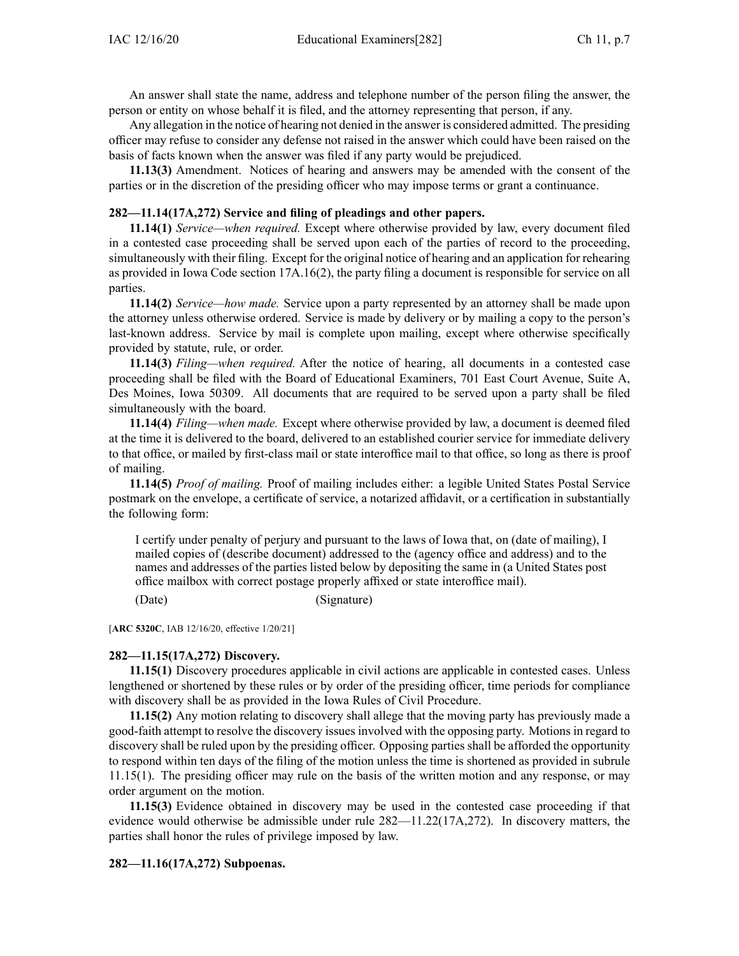An answer shall state the name, address and telephone number of the person filing the answer, the person or entity on whose behalf it is filed, and the attorney representing that person, if any.

Any allegation in the notice of hearing not denied in the answer is considered admitted. The presiding officer may refuse to consider any defense not raised in the answer which could have been raised on the basis of facts known when the answer was filed if any party would be prejudiced.

**11.13(3)** Amendment. Notices of hearing and answers may be amended with the consent of the parties or in the discretion of the presiding officer who may impose terms or gran<sup>t</sup> <sup>a</sup> continuance.

## **282—11.14(17A,272) Service and filing of pleadings and other papers.**

**11.14(1)** *Service—when required.* Except where otherwise provided by law, every document filed in <sup>a</sup> contested case proceeding shall be served upon each of the parties of record to the proceeding, simultaneously with their filing. Except for the original notice of hearing and an application for rehearing as provided in Iowa Code section [17A.16\(2\)](https://www.legis.iowa.gov/docs/ico/section/17A.16.pdf), the party filing <sup>a</sup> document is responsible for service on all parties.

**11.14(2)** *Service—how made.* Service upon <sup>a</sup> party represented by an attorney shall be made upon the attorney unless otherwise ordered. Service is made by delivery or by mailing <sup>a</sup> copy to the person's last-known address. Service by mail is complete upon mailing, excep<sup>t</sup> where otherwise specifically provided by statute, rule, or order.

**11.14(3)** *Filing—when required.* After the notice of hearing, all documents in <sup>a</sup> contested case proceeding shall be filed with the Board of Educational Examiners, 701 East Court Avenue, Suite A, Des Moines, Iowa 50309. All documents that are required to be served upon <sup>a</sup> party shall be filed simultaneously with the board.

**11.14(4)** *Filing—when made.* Except where otherwise provided by law, <sup>a</sup> document is deemed filed at the time it is delivered to the board, delivered to an established courier service for immediate delivery to that office, or mailed by first-class mail or state interoffice mail to that office, so long as there is proof of mailing.

**11.14(5)** *Proof of mailing.* Proof of mailing includes either: <sup>a</sup> legible United States Postal Service postmark on the envelope, <sup>a</sup> certificate of service, <sup>a</sup> notarized affidavit, or <sup>a</sup> certification in substantially the following form:

I certify under penalty of perjury and pursuan<sup>t</sup> to the laws of Iowa that, on (date of mailing), I mailed copies of (describe document) addressed to the (agency office and address) and to the names and addresses of the parties listed below by depositing the same in (a United States pos<sup>t</sup> office mailbox with correct postage properly affixed or state interoffice mail).

(Date) (Signature)

[**ARC [5320C](https://www.legis.iowa.gov/docs/aco/arc/5320C.pdf)**, IAB 12/16/20, effective 1/20/21]

#### **282—11.15(17A,272) Discovery.**

**11.15(1)** Discovery procedures applicable in civil actions are applicable in contested cases. Unless lengthened or shortened by these rules or by order of the presiding officer, time periods for compliance with discovery shall be as provided in the Iowa Rules of Civil Procedure.

**11.15(2)** Any motion relating to discovery shall allege that the moving party has previously made <sup>a</sup> good-faith attempt to resolve the discovery issues involved with the opposing party. Motions in regard to discovery shall be ruled upon by the presiding officer. Opposing parties shall be afforded the opportunity to respond within ten days of the filing of the motion unless the time is shortened as provided in subrule [11.15\(1\)](https://www.legis.iowa.gov/docs/iac/rule/282.11.15.pdf). The presiding officer may rule on the basis of the written motion and any response, or may order argumen<sup>t</sup> on the motion.

**11.15(3)** Evidence obtained in discovery may be used in the contested case proceeding if that evidence would otherwise be admissible under rule [282—11.22\(17A,272\)](https://www.legis.iowa.gov/docs/iac/rule/282.11.22.pdf). In discovery matters, the parties shall honor the rules of privilege imposed by law.

#### **282—11.16(17A,272) Subpoenas.**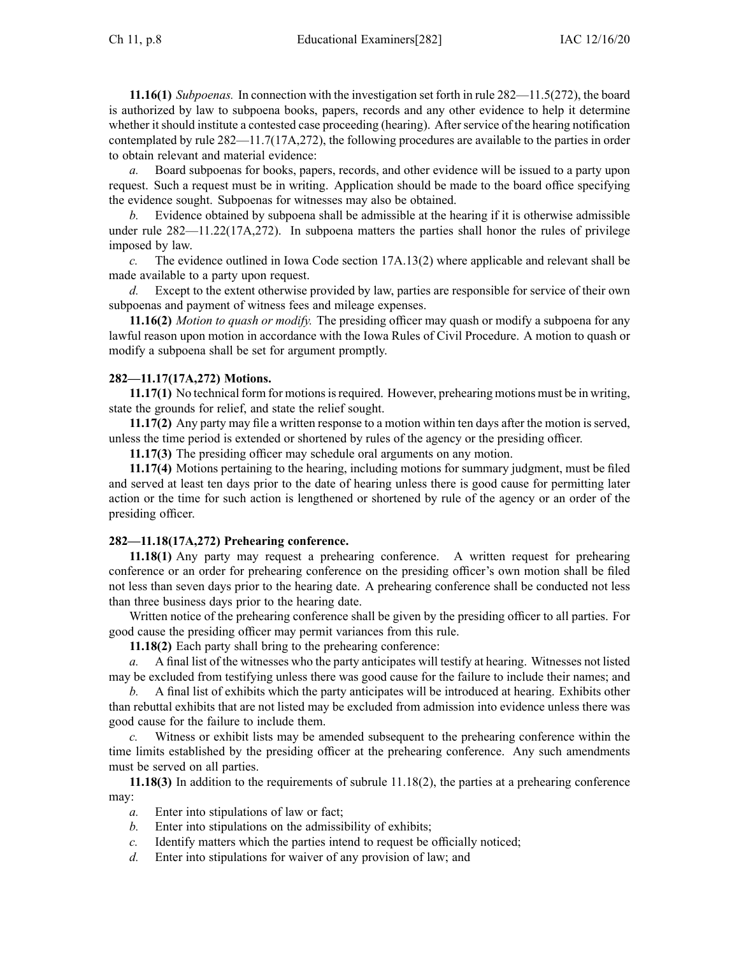**11.16(1)** *Subpoenas.* In connection with the investigation set forth in rule [282—11.5\(272\)](https://www.legis.iowa.gov/docs/iac/rule/282.11.5.pdf), the board is authorized by law to subpoena books, papers, records and any other evidence to help it determine whether it should institute a contested case proceeding (hearing). After service of the hearing notification contemplated by rule [282—11.7\(17A,272\)](https://www.legis.iowa.gov/docs/iac/rule/282.11.7.pdf), the following procedures are available to the parties in order to obtain relevant and material evidence:

*a.* Board subpoenas for books, papers, records, and other evidence will be issued to <sup>a</sup> party upon request. Such <sup>a</sup> reques<sup>t</sup> must be in writing. Application should be made to the board office specifying the evidence sought. Subpoenas for witnesses may also be obtained.

*b.* Evidence obtained by subpoena shall be admissible at the hearing if it is otherwise admissible under rule [282—11.22\(17A,272\)](https://www.legis.iowa.gov/docs/iac/rule/282.11.22.pdf). In subpoena matters the parties shall honor the rules of privilege imposed by law.

*c.* The evidence outlined in Iowa Code section [17A.13\(2\)](https://www.legis.iowa.gov/docs/ico/section/17A.13.pdf) where applicable and relevant shall be made available to <sup>a</sup> party upon request.

*d.* Except to the extent otherwise provided by law, parties are responsible for service of their own subpoenas and paymen<sup>t</sup> of witness fees and mileage expenses.

**11.16(2)** *Motion to quash or modify.* The presiding officer may quash or modify <sup>a</sup> subpoena for any lawful reason upon motion in accordance with the Iowa Rules of Civil Procedure. A motion to quash or modify <sup>a</sup> subpoena shall be set for argumen<sup>t</sup> promptly.

# **282—11.17(17A,272) Motions.**

11.17(1) No technical form for motions is required. However, prehearing motions must be in writing, state the grounds for relief, and state the relief sought.

**11.17(2)** Any party may file <sup>a</sup> written response to <sup>a</sup> motion within ten days after the motion is served, unless the time period is extended or shortened by rules of the agency or the presiding officer.

**11.17(3)** The presiding officer may schedule oral arguments on any motion.

**11.17(4)** Motions pertaining to the hearing, including motions for summary judgment, must be filed and served at least ten days prior to the date of hearing unless there is good cause for permitting later action or the time for such action is lengthened or shortened by rule of the agency or an order of the presiding officer.

## **282—11.18(17A,272) Prehearing conference.**

**11.18(1)** Any party may reques<sup>t</sup> <sup>a</sup> prehearing conference. A written reques<sup>t</sup> for prehearing conference or an order for prehearing conference on the presiding officer's own motion shall be filed not less than seven days prior to the hearing date. A prehearing conference shall be conducted not less than three business days prior to the hearing date.

Written notice of the prehearing conference shall be given by the presiding officer to all parties. For good cause the presiding officer may permit variances from this rule.

**11.18(2)** Each party shall bring to the prehearing conference:

*a.* A final list of the witnesses who the party anticipates will testify at hearing. Witnesses not listed may be excluded from testifying unless there was good cause for the failure to include their names; and

*b.* A final list of exhibits which the party anticipates will be introduced at hearing. Exhibits other than rebuttal exhibits that are not listed may be excluded from admission into evidence unless there was good cause for the failure to include them.

Witness or exhibit lists may be amended subsequent to the prehearing conference within the time limits established by the presiding officer at the prehearing conference. Any such amendments must be served on all parties.

**11.18(3)** In addition to the requirements of subrule [11.18\(2\)](https://www.legis.iowa.gov/docs/iac/rule/282.11.18.pdf), the parties at <sup>a</sup> prehearing conference may:

- *a.* Enter into stipulations of law or fact;
- *b.* Enter into stipulations on the admissibility of exhibits;
- *c.* Identify matters which the parties intend to reques<sup>t</sup> be officially noticed;
- *d.* Enter into stipulations for waiver of any provision of law; and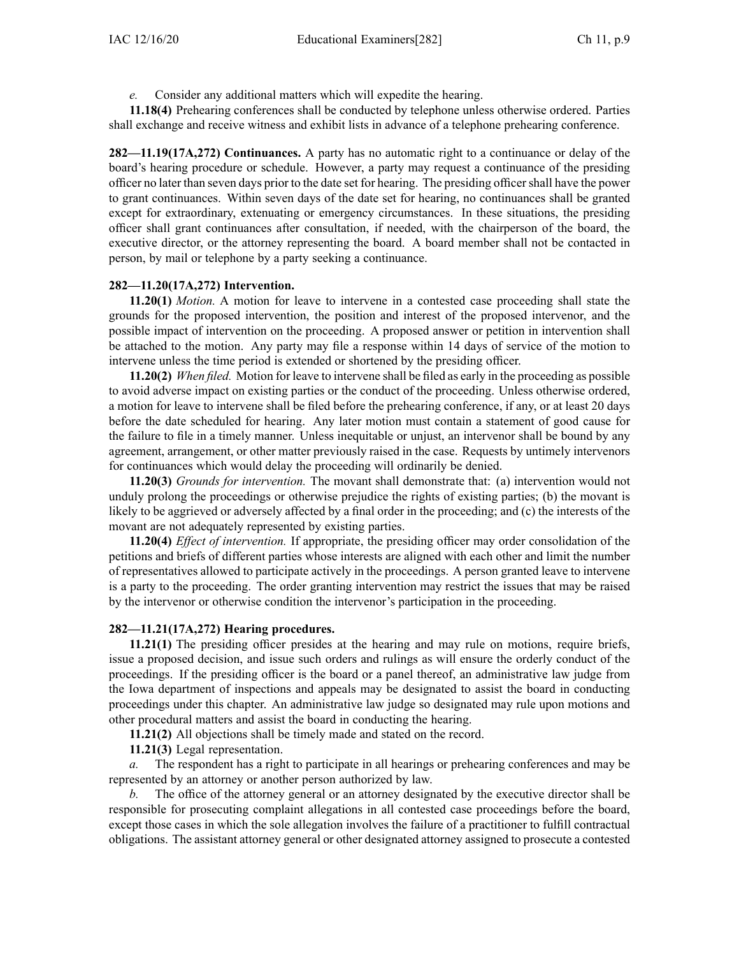*e.* Consider any additional matters which will expedite the hearing.

**11.18(4)** Prehearing conferences shall be conducted by telephone unless otherwise ordered. Parties shall exchange and receive witness and exhibit lists in advance of <sup>a</sup> telephone prehearing conference.

**282—11.19(17A,272) Continuances.** A party has no automatic right to <sup>a</sup> continuance or delay of the board's hearing procedure or schedule. However, <sup>a</sup> party may reques<sup>t</sup> <sup>a</sup> continuance of the presiding officer no later than seven days prior to the date set for hearing. The presiding officershall have the power to gran<sup>t</sup> continuances. Within seven days of the date set for hearing, no continuances shall be granted excep<sup>t</sup> for extraordinary, extenuating or emergency circumstances. In these situations, the presiding officer shall gran<sup>t</sup> continuances after consultation, if needed, with the chairperson of the board, the executive director, or the attorney representing the board. A board member shall not be contacted in person, by mail or telephone by <sup>a</sup> party seeking <sup>a</sup> continuance.

## **282—11.20(17A,272) Intervention.**

**11.20(1)** *Motion.* A motion for leave to intervene in <sup>a</sup> contested case proceeding shall state the grounds for the proposed intervention, the position and interest of the proposed intervenor, and the possible impact of intervention on the proceeding. A proposed answer or petition in intervention shall be attached to the motion. Any party may file <sup>a</sup> response within 14 days of service of the motion to intervene unless the time period is extended or shortened by the presiding officer.

**11.20(2)** *When filed.* Motion for leave to intervene shall be filed as early in the proceeding as possible to avoid adverse impact on existing parties or the conduct of the proceeding. Unless otherwise ordered, <sup>a</sup> motion for leave to intervene shall be filed before the prehearing conference, if any, or at least 20 days before the date scheduled for hearing. Any later motion must contain <sup>a</sup> statement of good cause for the failure to file in <sup>a</sup> timely manner. Unless inequitable or unjust, an intervenor shall be bound by any agreement, arrangement, or other matter previously raised in the case. Requests by untimely intervenors for continuances which would delay the proceeding will ordinarily be denied.

**11.20(3)** *Grounds for intervention.* The movant shall demonstrate that: (a) intervention would not unduly prolong the proceedings or otherwise prejudice the rights of existing parties; (b) the movant is likely to be aggrieved or adversely affected by <sup>a</sup> final order in the proceeding; and (c) the interests of the movant are not adequately represented by existing parties.

**11.20(4)** *Effect of intervention.* If appropriate, the presiding officer may order consolidation of the petitions and briefs of different parties whose interests are aligned with each other and limit the number of representatives allowed to participate actively in the proceedings. A person granted leave to intervene is <sup>a</sup> party to the proceeding. The order granting intervention may restrict the issues that may be raised by the intervenor or otherwise condition the intervenor's participation in the proceeding.

#### **282—11.21(17A,272) Hearing procedures.**

**11.21(1)** The presiding officer presides at the hearing and may rule on motions, require briefs, issue <sup>a</sup> proposed decision, and issue such orders and rulings as will ensure the orderly conduct of the proceedings. If the presiding officer is the board or <sup>a</sup> panel thereof, an administrative law judge from the Iowa department of inspections and appeals may be designated to assist the board in conducting proceedings under this chapter. An administrative law judge so designated may rule upon motions and other procedural matters and assist the board in conducting the hearing.

**11.21(2)** All objections shall be timely made and stated on the record.

**11.21(3)** Legal representation.

*a.* The respondent has <sup>a</sup> right to participate in all hearings or prehearing conferences and may be represented by an attorney or another person authorized by law.

*b.* The office of the attorney general or an attorney designated by the executive director shall be responsible for prosecuting complaint allegations in all contested case proceedings before the board, excep<sup>t</sup> those cases in which the sole allegation involves the failure of <sup>a</sup> practitioner to fulfill contractual obligations. The assistant attorney general or other designated attorney assigned to prosecute <sup>a</sup> contested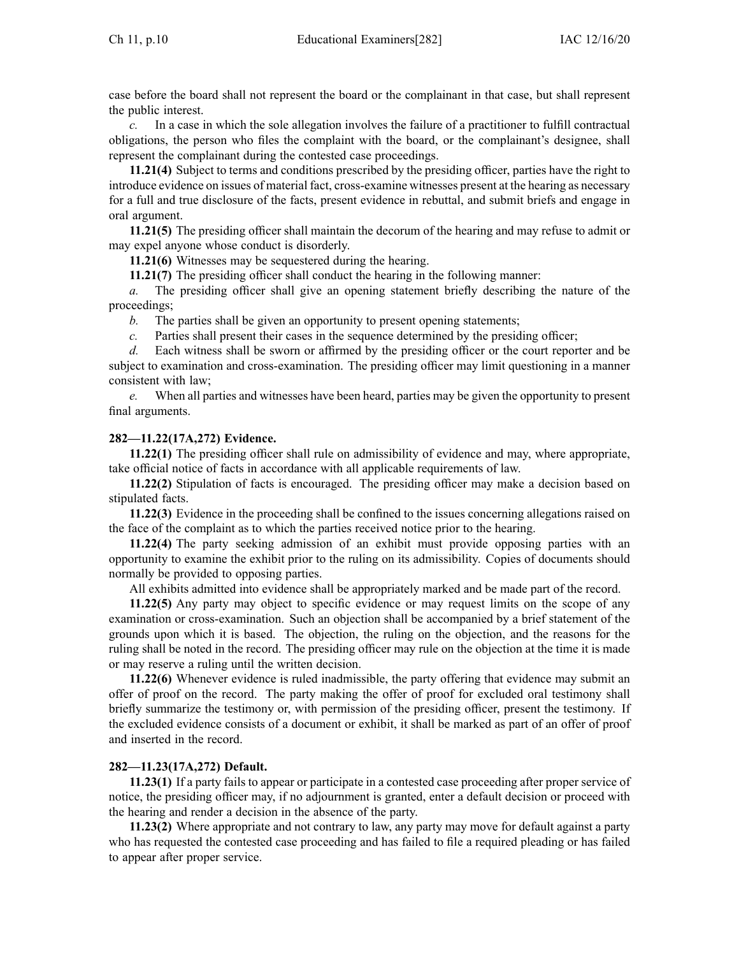case before the board shall not represen<sup>t</sup> the board or the complainant in that case, but shall represen<sup>t</sup> the public interest.

*c.* In <sup>a</sup> case in which the sole allegation involves the failure of <sup>a</sup> practitioner to fulfill contractual obligations, the person who files the complaint with the board, or the complainant's designee, shall represen<sup>t</sup> the complainant during the contested case proceedings.

**11.21(4)** Subject to terms and conditions prescribed by the presiding officer, parties have the right to introduce evidence on issues of material fact, cross-examine witnesses presen<sup>t</sup> at the hearing as necessary for <sup>a</sup> full and true disclosure of the facts, presen<sup>t</sup> evidence in rebuttal, and submit briefs and engage in oral argument.

**11.21(5)** The presiding officer shall maintain the decorum of the hearing and may refuse to admit or may expel anyone whose conduct is disorderly.

**11.21(6)** Witnesses may be sequestered during the hearing.

**11.21(7)** The presiding officer shall conduct the hearing in the following manner:

*a.* The presiding officer shall give an opening statement briefly describing the nature of the proceedings;

*b.* The parties shall be given an opportunity to presen<sup>t</sup> opening statements;

*c.* Parties shall presen<sup>t</sup> their cases in the sequence determined by the presiding officer;

*d.* Each witness shall be sworn or affirmed by the presiding officer or the court reporter and be subject to examination and cross-examination. The presiding officer may limit questioning in <sup>a</sup> manner consistent with law;

*e.* When all parties and witnesses have been heard, parties may be given the opportunity to presen<sup>t</sup> final arguments.

## **282—11.22(17A,272) Evidence.**

**11.22(1)** The presiding officer shall rule on admissibility of evidence and may, where appropriate, take official notice of facts in accordance with all applicable requirements of law.

**11.22(2)** Stipulation of facts is encouraged. The presiding officer may make <sup>a</sup> decision based on stipulated facts.

**11.22(3)** Evidence in the proceeding shall be confined to the issues concerning allegations raised on the face of the complaint as to which the parties received notice prior to the hearing.

**11.22(4)** The party seeking admission of an exhibit must provide opposing parties with an opportunity to examine the exhibit prior to the ruling on its admissibility. Copies of documents should normally be provided to opposing parties.

All exhibits admitted into evidence shall be appropriately marked and be made par<sup>t</sup> of the record.

**11.22(5)** Any party may object to specific evidence or may reques<sup>t</sup> limits on the scope of any examination or cross-examination. Such an objection shall be accompanied by <sup>a</sup> brief statement of the grounds upon which it is based. The objection, the ruling on the objection, and the reasons for the ruling shall be noted in the record. The presiding officer may rule on the objection at the time it is made or may reserve <sup>a</sup> ruling until the written decision.

**11.22(6)** Whenever evidence is ruled inadmissible, the party offering that evidence may submit an offer of proof on the record. The party making the offer of proof for excluded oral testimony shall briefly summarize the testimony or, with permission of the presiding officer, presen<sup>t</sup> the testimony. If the excluded evidence consists of <sup>a</sup> document or exhibit, it shall be marked as par<sup>t</sup> of an offer of proof and inserted in the record.

#### **282—11.23(17A,272) Default.**

**11.23(1)** If <sup>a</sup> party fails to appear or participate in <sup>a</sup> contested case proceeding after proper service of notice, the presiding officer may, if no adjournment is granted, enter <sup>a</sup> default decision or proceed with the hearing and render <sup>a</sup> decision in the absence of the party.

**11.23(2)** Where appropriate and not contrary to law, any party may move for default against <sup>a</sup> party who has requested the contested case proceeding and has failed to file <sup>a</sup> required pleading or has failed to appear after proper service.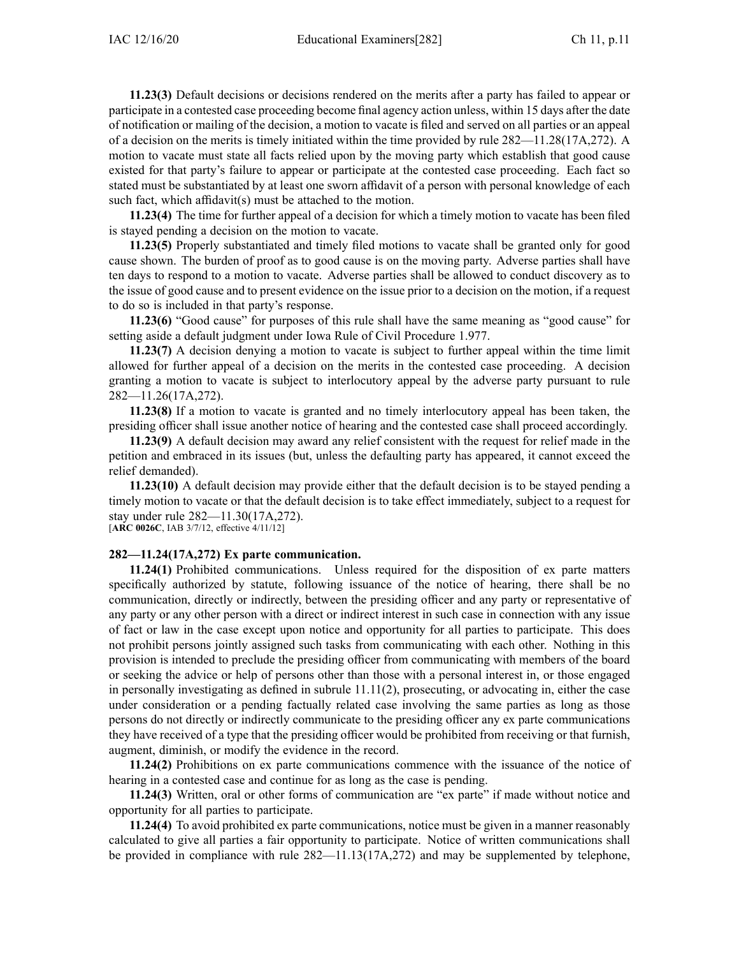**11.23(3)** Default decisions or decisions rendered on the merits after <sup>a</sup> party has failed to appear or participate in <sup>a</sup> contested case proceeding become final agency action unless, within 15 days after the date of notification or mailing of the decision, <sup>a</sup> motion to vacate is filed and served on all parties or an appeal of <sup>a</sup> decision on the merits is timely initiated within the time provided by rule [282—11.28\(17A,272\)](https://www.legis.iowa.gov/docs/iac/rule/282.11.28.pdf). A motion to vacate must state all facts relied upon by the moving party which establish that good cause existed for that party's failure to appear or participate at the contested case proceeding. Each fact so stated must be substantiated by at least one sworn affidavit of <sup>a</sup> person with personal knowledge of each such fact, which affidavit(s) must be attached to the motion.

**11.23(4)** The time for further appeal of <sup>a</sup> decision for which <sup>a</sup> timely motion to vacate has been filed is stayed pending <sup>a</sup> decision on the motion to vacate.

**11.23(5)** Properly substantiated and timely filed motions to vacate shall be granted only for good cause shown. The burden of proof as to good cause is on the moving party. Adverse parties shall have ten days to respond to <sup>a</sup> motion to vacate. Adverse parties shall be allowed to conduct discovery as to the issue of good cause and to presen<sup>t</sup> evidence on the issue prior to <sup>a</sup> decision on the motion, if <sup>a</sup> reques<sup>t</sup> to do so is included in that party's response.

**11.23(6)** "Good cause" for purposes of this rule shall have the same meaning as "good cause" for setting aside <sup>a</sup> default judgment under Iowa Rule of Civil Procedure [1.977](https://www.legis.iowa.gov/docs/ACO/CourtRulesChapter/1.pdf).

**11.23(7)** A decision denying <sup>a</sup> motion to vacate is subject to further appeal within the time limit allowed for further appeal of <sup>a</sup> decision on the merits in the contested case proceeding. A decision granting <sup>a</sup> motion to vacate is subject to interlocutory appeal by the adverse party pursuan<sup>t</sup> to rule [282—11.26\(17A,272\)](https://www.legis.iowa.gov/docs/iac/rule/282.11.26.pdf).

**11.23(8)** If <sup>a</sup> motion to vacate is granted and no timely interlocutory appeal has been taken, the presiding officer shall issue another notice of hearing and the contested case shall proceed accordingly.

**11.23(9)** A default decision may award any relief consistent with the reques<sup>t</sup> for relief made in the petition and embraced in its issues (but, unless the defaulting party has appeared, it cannot exceed the relief demanded).

**11.23(10)** A default decision may provide either that the default decision is to be stayed pending <sup>a</sup> timely motion to vacate or that the default decision is to take effect immediately, subject to <sup>a</sup> reques<sup>t</sup> for stay under rule [282—11.30\(17A,272\)](https://www.legis.iowa.gov/docs/iac/rule/282.11.30.pdf).

[**ARC [0026C](https://www.legis.iowa.gov/docs/aco/arc/0026C.pdf)**, IAB 3/7/12, effective 4/11/12]

## **282—11.24(17A,272) Ex parte communication.**

**11.24(1)** Prohibited communications. Unless required for the disposition of ex parte matters specifically authorized by statute, following issuance of the notice of hearing, there shall be no communication, directly or indirectly, between the presiding officer and any party or representative of any party or any other person with <sup>a</sup> direct or indirect interest in such case in connection with any issue of fact or law in the case excep<sup>t</sup> upon notice and opportunity for all parties to participate. This does not prohibit persons jointly assigned such tasks from communicating with each other. Nothing in this provision is intended to preclude the presiding officer from communicating with members of the board or seeking the advice or help of persons other than those with <sup>a</sup> personal interest in, or those engaged in personally investigating as defined in subrule [11.11\(2\)](https://www.legis.iowa.gov/docs/iac/rule/282.11.11.pdf), prosecuting, or advocating in, either the case under consideration or <sup>a</sup> pending factually related case involving the same parties as long as those persons do not directly or indirectly communicate to the presiding officer any ex parte communications they have received of <sup>a</sup> type that the presiding officer would be prohibited from receiving or that furnish, augment, diminish, or modify the evidence in the record.

**11.24(2)** Prohibitions on ex parte communications commence with the issuance of the notice of hearing in <sup>a</sup> contested case and continue for as long as the case is pending.

**11.24(3)** Written, oral or other forms of communication are "ex parte" if made without notice and opportunity for all parties to participate.

**11.24(4)** To avoid prohibited ex parte communications, notice must be given in <sup>a</sup> manner reasonably calculated to give all parties <sup>a</sup> fair opportunity to participate. Notice of written communications shall be provided in compliance with rule [282—11.13\(17A,272\)](https://www.legis.iowa.gov/docs/iac/rule/282.11.13.pdf) and may be supplemented by telephone,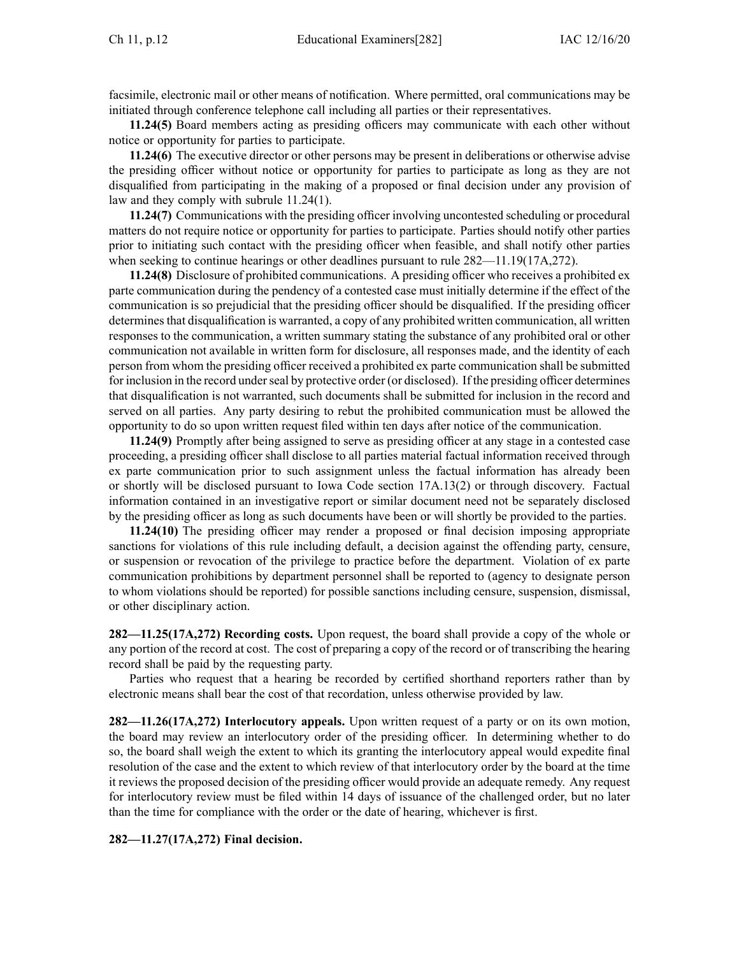facsimile, electronic mail or other means of notification. Where permitted, oral communications may be initiated through conference telephone call including all parties or their representatives.

**11.24(5)** Board members acting as presiding officers may communicate with each other without notice or opportunity for parties to participate.

**11.24(6)** The executive director or other persons may be presen<sup>t</sup> in deliberations or otherwise advise the presiding officer without notice or opportunity for parties to participate as long as they are not disqualified from participating in the making of <sup>a</sup> proposed or final decision under any provision of law and they comply with subrule [11.24\(1\)](https://www.legis.iowa.gov/docs/iac/rule/282.11.24.pdf).

**11.24(7)** Communications with the presiding officer involving uncontested scheduling or procedural matters do not require notice or opportunity for parties to participate. Parties should notify other parties prior to initiating such contact with the presiding officer when feasible, and shall notify other parties when seeking to continue hearings or other deadlines pursuant to rule  $282-11.19(17A,272)$ .

**11.24(8)** Disclosure of prohibited communications. A presiding officer who receives <sup>a</sup> prohibited ex parte communication during the pendency of <sup>a</sup> contested case must initially determine if the effect of the communication is so prejudicial that the presiding officer should be disqualified. If the presiding officer determines that disqualification is warranted, a copy of any prohibited written communication, all written responses to the communication, <sup>a</sup> written summary stating the substance of any prohibited oral or other communication not available in written form for disclosure, all responses made, and the identity of each person from whom the presiding officer received <sup>a</sup> prohibited ex parte communication shall be submitted for inclusion in the record under seal by protective order (or disclosed). If the presiding officer determines that disqualification is not warranted, such documents shall be submitted for inclusion in the record and served on all parties. Any party desiring to rebut the prohibited communication must be allowed the opportunity to do so upon written reques<sup>t</sup> filed within ten days after notice of the communication.

**11.24(9)** Promptly after being assigned to serve as presiding officer at any stage in <sup>a</sup> contested case proceeding, <sup>a</sup> presiding officer shall disclose to all parties material factual information received through ex parte communication prior to such assignment unless the factual information has already been or shortly will be disclosed pursuan<sup>t</sup> to Iowa Code section [17A.13\(2\)](https://www.legis.iowa.gov/docs/ico/section/17A.13.pdf) or through discovery. Factual information contained in an investigative repor<sup>t</sup> or similar document need not be separately disclosed by the presiding officer as long as such documents have been or will shortly be provided to the parties.

**11.24(10)** The presiding officer may render <sup>a</sup> proposed or final decision imposing appropriate sanctions for violations of this rule including default, <sup>a</sup> decision against the offending party, censure, or suspension or revocation of the privilege to practice before the department. Violation of ex parte communication prohibitions by department personnel shall be reported to (agency to designate person to whom violations should be reported) for possible sanctions including censure, suspension, dismissal, or other disciplinary action.

**282—11.25(17A,272) Recording costs.** Upon request, the board shall provide <sup>a</sup> copy of the whole or any portion of the record at cost. The cost of preparing <sup>a</sup> copy of the record or of transcribing the hearing record shall be paid by the requesting party.

Parties who reques<sup>t</sup> that <sup>a</sup> hearing be recorded by certified shorthand reporters rather than by electronic means shall bear the cost of that recordation, unless otherwise provided by law.

**282—11.26(17A,272) Interlocutory appeals.** Upon written reques<sup>t</sup> of <sup>a</sup> party or on its own motion, the board may review an interlocutory order of the presiding officer. In determining whether to do so, the board shall weigh the extent to which its granting the interlocutory appeal would expedite final resolution of the case and the extent to which review of that interlocutory order by the board at the time it reviews the proposed decision of the presiding officer would provide an adequate remedy. Any reques<sup>t</sup> for interlocutory review must be filed within 14 days of issuance of the challenged order, but no later than the time for compliance with the order or the date of hearing, whichever is first.

**282—11.27(17A,272) Final decision.**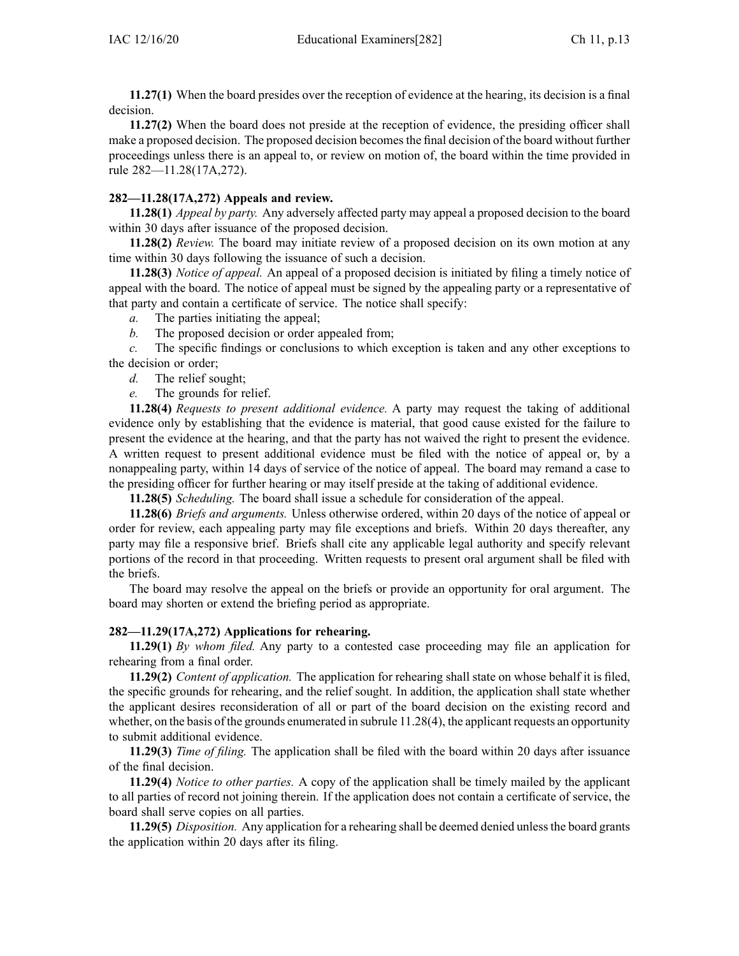**11.27(1)** When the board presides over the reception of evidence at the hearing, its decision is <sup>a</sup> final decision.

**11.27(2)** When the board does not preside at the reception of evidence, the presiding officer shall make <sup>a</sup> proposed decision. The proposed decision becomesthe final decision of the board without further proceedings unless there is an appeal to, or review on motion of, the board within the time provided in rule [282—11.28\(17A,272\)](https://www.legis.iowa.gov/docs/iac/rule/282.11.28.pdf).

## **282—11.28(17A,272) Appeals and review.**

**11.28(1)** *Appeal by party.* Any adversely affected party may appeal <sup>a</sup> proposed decision to the board within 30 days after issuance of the proposed decision.

**11.28(2)** *Review.* The board may initiate review of <sup>a</sup> proposed decision on its own motion at any time within 30 days following the issuance of such <sup>a</sup> decision.

**11.28(3)** *Notice of appeal.* An appeal of <sup>a</sup> proposed decision is initiated by filing <sup>a</sup> timely notice of appeal with the board. The notice of appeal must be signed by the appealing party or <sup>a</sup> representative of that party and contain <sup>a</sup> certificate of service. The notice shall specify:

*a.* The parties initiating the appeal;

*b.* The proposed decision or order appealed from;

*c.* The specific findings or conclusions to which exception is taken and any other exceptions to the decision or order;

- *d.* The relief sought;
- *e.* The grounds for relief.

**11.28(4)** *Requests to presen<sup>t</sup> additional evidence.* A party may reques<sup>t</sup> the taking of additional evidence only by establishing that the evidence is material, that good cause existed for the failure to presen<sup>t</sup> the evidence at the hearing, and that the party has not waived the right to presen<sup>t</sup> the evidence. A written reques<sup>t</sup> to presen<sup>t</sup> additional evidence must be filed with the notice of appeal or, by <sup>a</sup> nonappealing party, within 14 days of service of the notice of appeal. The board may remand <sup>a</sup> case to the presiding officer for further hearing or may itself preside at the taking of additional evidence.

**11.28(5)** *Scheduling.* The board shall issue <sup>a</sup> schedule for consideration of the appeal.

**11.28(6)** *Briefs and arguments.* Unless otherwise ordered, within 20 days of the notice of appeal or order for review, each appealing party may file exceptions and briefs. Within 20 days thereafter, any party may file <sup>a</sup> responsive brief. Briefs shall cite any applicable legal authority and specify relevant portions of the record in that proceeding. Written requests to presen<sup>t</sup> oral argumen<sup>t</sup> shall be filed with the briefs.

The board may resolve the appeal on the briefs or provide an opportunity for oral argument. The board may shorten or extend the briefing period as appropriate.

## **282—11.29(17A,272) Applications for rehearing.**

**11.29(1)** *By whom filed.* Any party to <sup>a</sup> contested case proceeding may file an application for rehearing from <sup>a</sup> final order.

**11.29(2)** *Content of application.* The application for rehearing shall state on whose behalf it is filed, the specific grounds for rehearing, and the relief sought. In addition, the application shall state whether the applicant desires reconsideration of all or par<sup>t</sup> of the board decision on the existing record and whether, on the basis of the grounds enumerated in subrule [11.28\(4\)](https://www.legis.iowa.gov/docs/iac/rule/282.11.28.pdf), the applicant requests an opportunity to submit additional evidence.

**11.29(3)** *Time of filing.* The application shall be filed with the board within 20 days after issuance of the final decision.

**11.29(4)** *Notice to other parties.* A copy of the application shall be timely mailed by the applicant to all parties of record not joining therein. If the application does not contain <sup>a</sup> certificate of service, the board shall serve copies on all parties.

**11.29(5)** *Disposition.* Any application for <sup>a</sup> rehearing shall be deemed denied unlessthe board grants the application within 20 days after its filing.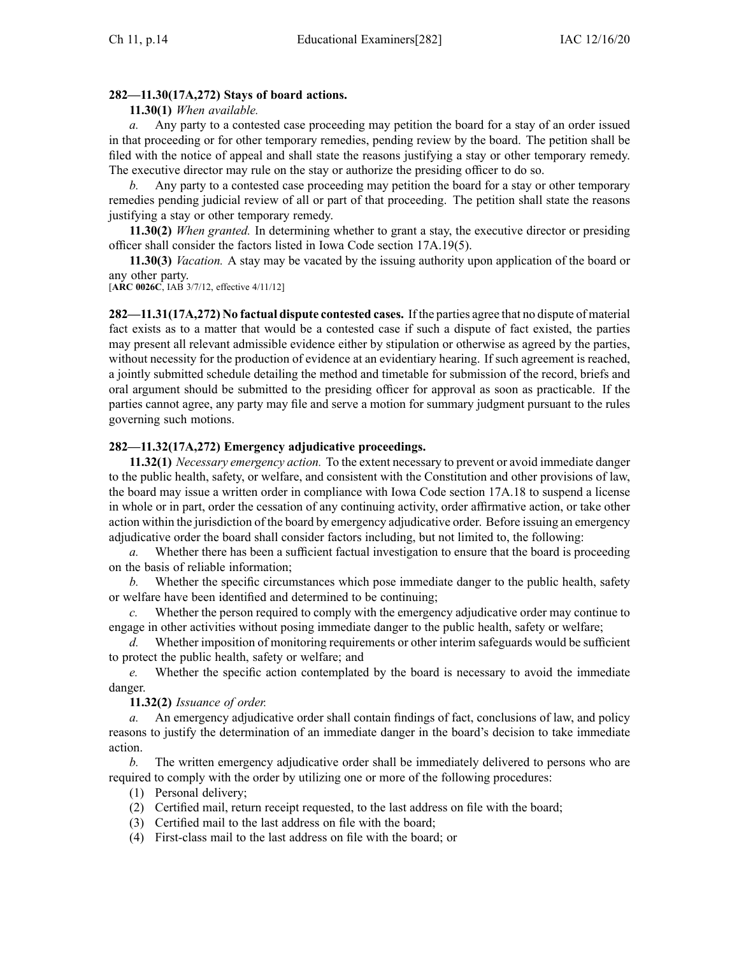# **282—11.30(17A,272) Stays of board actions.**

**11.30(1)** *When available.*

*a.* Any party to <sup>a</sup> contested case proceeding may petition the board for <sup>a</sup> stay of an order issued in that proceeding or for other temporary remedies, pending review by the board. The petition shall be filed with the notice of appeal and shall state the reasons justifying <sup>a</sup> stay or other temporary remedy. The executive director may rule on the stay or authorize the presiding officer to do so.

*b.* Any party to <sup>a</sup> contested case proceeding may petition the board for <sup>a</sup> stay or other temporary remedies pending judicial review of all or par<sup>t</sup> of that proceeding. The petition shall state the reasons justifying <sup>a</sup> stay or other temporary remedy.

**11.30(2)** *When granted.* In determining whether to gran<sup>t</sup> <sup>a</sup> stay, the executive director or presiding officer shall consider the factors listed in Iowa Code section [17A.19\(5\)](https://www.legis.iowa.gov/docs/ico/section/17A.19.pdf).

**11.30(3)** *Vacation.* A stay may be vacated by the issuing authority upon application of the board or any other party.

[**ARC [0026C](https://www.legis.iowa.gov/docs/aco/arc/0026C.pdf)**, IAB 3/7/12, effective 4/11/12]

**282—11.31(17A,272) No factual dispute contested cases.** If the parties agree that no dispute of material fact exists as to <sup>a</sup> matter that would be <sup>a</sup> contested case if such <sup>a</sup> dispute of fact existed, the parties may presen<sup>t</sup> all relevant admissible evidence either by stipulation or otherwise as agreed by the parties, without necessity for the production of evidence at an evidentiary hearing. If such agreemen<sup>t</sup> is reached, <sup>a</sup> jointly submitted schedule detailing the method and timetable for submission of the record, briefs and oral argumen<sup>t</sup> should be submitted to the presiding officer for approval as soon as practicable. If the parties cannot agree, any party may file and serve <sup>a</sup> motion for summary judgment pursuan<sup>t</sup> to the rules governing such motions.

# **282—11.32(17A,272) Emergency adjudicative proceedings.**

**11.32(1)** *Necessary emergency action.* To the extent necessary to preven<sup>t</sup> or avoid immediate danger to the public health, safety, or welfare, and consistent with the Constitution and other provisions of law, the board may issue <sup>a</sup> written order in compliance with Iowa Code section [17A.18](https://www.legis.iowa.gov/docs/ico/section/17A.18.pdf) to suspend <sup>a</sup> license in whole or in part, order the cessation of any continuing activity, order affirmative action, or take other action within the jurisdiction of the board by emergency adjudicative order. Before issuing an emergency adjudicative order the board shall consider factors including, but not limited to, the following:

*a.* Whether there has been <sup>a</sup> sufficient factual investigation to ensure that the board is proceeding on the basis of reliable information;

*b.* Whether the specific circumstances which pose immediate danger to the public health, safety or welfare have been identified and determined to be continuing;

*c.* Whether the person required to comply with the emergency adjudicative order may continue to engage in other activities without posing immediate danger to the public health, safety or welfare;

*d.* Whether imposition of monitoring requirements or other interim safeguards would be sufficient to protect the public health, safety or welfare; and

*e.* Whether the specific action contemplated by the board is necessary to avoid the immediate danger.

**11.32(2)** *Issuance of order.*

*a.* An emergency adjudicative order shall contain findings of fact, conclusions of law, and policy reasons to justify the determination of an immediate danger in the board's decision to take immediate action.

*b.* The written emergency adjudicative order shall be immediately delivered to persons who are required to comply with the order by utilizing one or more of the following procedures:

(1) Personal delivery;

- (2) Certified mail, return receipt requested, to the last address on file with the board;
- (3) Certified mail to the last address on file with the board;
- (4) First-class mail to the last address on file with the board; or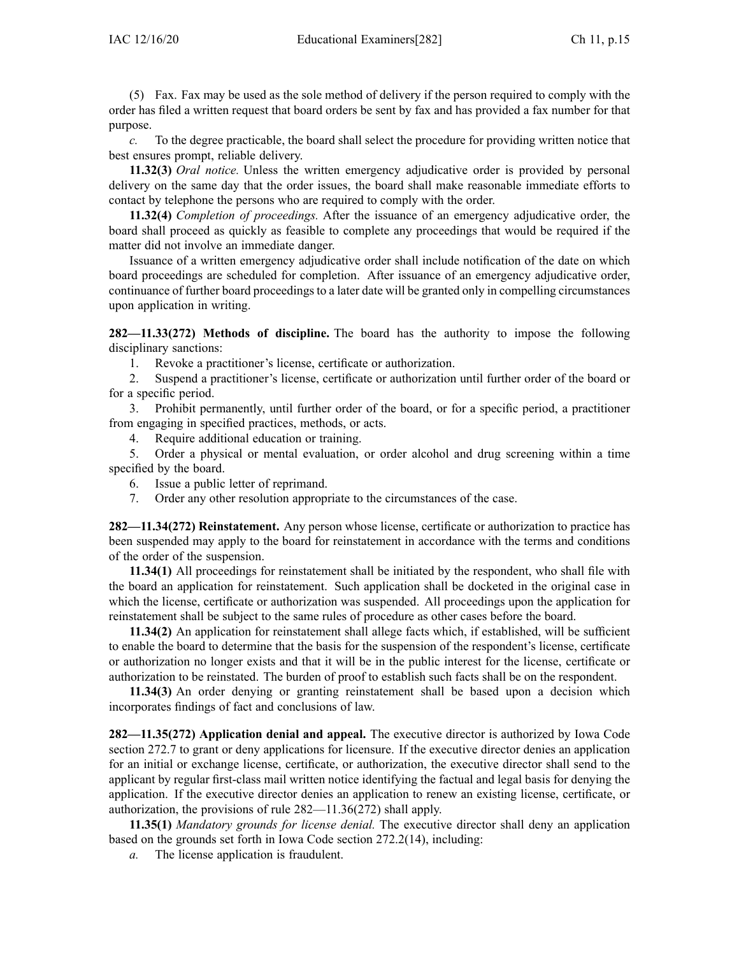(5) Fax. Fax may be used as the sole method of delivery if the person required to comply with the order has filed <sup>a</sup> written reques<sup>t</sup> that board orders be sent by fax and has provided <sup>a</sup> fax number for that purpose.

*c.* To the degree practicable, the board shall select the procedure for providing written notice that best ensures prompt, reliable delivery.

**11.32(3)** *Oral notice.* Unless the written emergency adjudicative order is provided by personal delivery on the same day that the order issues, the board shall make reasonable immediate efforts to contact by telephone the persons who are required to comply with the order.

**11.32(4)** *Completion of proceedings.* After the issuance of an emergency adjudicative order, the board shall proceed as quickly as feasible to complete any proceedings that would be required if the matter did not involve an immediate danger.

Issuance of <sup>a</sup> written emergency adjudicative order shall include notification of the date on which board proceedings are scheduled for completion. After issuance of an emergency adjudicative order, continuance of further board proceedings to a later date will be granted only in compelling circumstances upon application in writing.

**282—11.33(272) Methods of discipline.** The board has the authority to impose the following disciplinary sanctions:

1. Revoke <sup>a</sup> practitioner's license, certificate or authorization.

2. Suspend <sup>a</sup> practitioner's license, certificate or authorization until further order of the board or for <sup>a</sup> specific period.

3. Prohibit permanently, until further order of the board, or for <sup>a</sup> specific period, <sup>a</sup> practitioner from engaging in specified practices, methods, or acts.

4. Require additional education or training.

5. Order <sup>a</sup> physical or mental evaluation, or order alcohol and drug screening within <sup>a</sup> time specified by the board.

- 6. Issue <sup>a</sup> public letter of reprimand.
- 7. Order any other resolution appropriate to the circumstances of the case.

**282—11.34(272) Reinstatement.** Any person whose license, certificate or authorization to practice has been suspended may apply to the board for reinstatement in accordance with the terms and conditions of the order of the suspension.

**11.34(1)** All proceedings for reinstatement shall be initiated by the respondent, who shall file with the board an application for reinstatement. Such application shall be docketed in the original case in which the license, certificate or authorization was suspended. All proceedings upon the application for reinstatement shall be subject to the same rules of procedure as other cases before the board.

**11.34(2)** An application for reinstatement shall allege facts which, if established, will be sufficient to enable the board to determine that the basis for the suspension of the respondent's license, certificate or authorization no longer exists and that it will be in the public interest for the license, certificate or authorization to be reinstated. The burden of proof to establish such facts shall be on the respondent.

**11.34(3)** An order denying or granting reinstatement shall be based upon <sup>a</sup> decision which incorporates findings of fact and conclusions of law.

**282—11.35(272) Application denial and appeal.** The executive director is authorized by Iowa Code section [272.7](https://www.legis.iowa.gov/docs/ico/section/272.7.pdf) to gran<sup>t</sup> or deny applications for licensure. If the executive director denies an application for an initial or exchange license, certificate, or authorization, the executive director shall send to the applicant by regular first-class mail written notice identifying the factual and legal basis for denying the application. If the executive director denies an application to renew an existing license, certificate, or authorization, the provisions of rule [282—11.36\(272\)](https://www.legis.iowa.gov/docs/iac/rule/282.11.36.pdf) shall apply.

**11.35(1)** *Mandatory grounds for license denial.* The executive director shall deny an application based on the grounds set forth in Iowa Code section [272.2\(14\)](https://www.legis.iowa.gov/docs/ico/section/272.2.pdf), including:

*a.* The license application is fraudulent.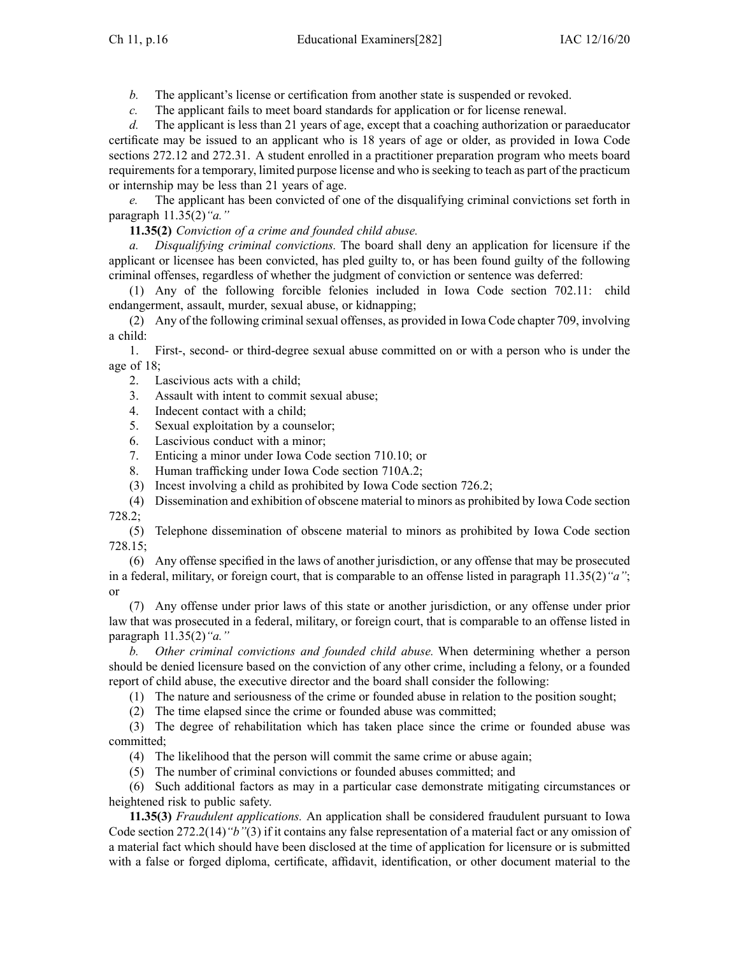*b.* The applicant's license or certification from another state is suspended or revoked.

*c.* The applicant fails to meet board standards for application or for license renewal.

*d.* The applicant is less than 21 years of age, excep<sup>t</sup> that <sup>a</sup> coaching authorization or paraeducator certificate may be issued to an applicant who is 18 years of age or older, as provided in Iowa Code sections [272.12](https://www.legis.iowa.gov/docs/ico/section/272.12.pdf) and [272.31](https://www.legis.iowa.gov/docs/ico/section/272.31.pdf). A student enrolled in <sup>a</sup> practitioner preparation program who meets board requirements for a temporary, limited purpose license and who is seeking to teach as part of the practicum or internship may be less than 21 years of age.

*e.* The applicant has been convicted of one of the disqualifying criminal convictions set forth in paragraph [11.35\(2\)](https://www.legis.iowa.gov/docs/iac/rule/282.11.35.pdf)*"a."*

**11.35(2)** *Conviction of <sup>a</sup> crime and founded child abuse.*

*a. Disqualifying criminal convictions.* The board shall deny an application for licensure if the applicant or licensee has been convicted, has pled guilty to, or has been found guilty of the following criminal offenses, regardless of whether the judgment of conviction or sentence was deferred:

(1) Any of the following forcible felonies included in Iowa Code section [702.11](https://www.legis.iowa.gov/docs/ico/section/702.11.pdf): child endangerment, assault, murder, sexual abuse, or kidnapping;

(2) Any of the following criminalsexual offenses, as provided in Iowa Code chapter [709](https://www.legis.iowa.gov/docs/ico/chapter/709.pdf), involving <sup>a</sup> child:

1. First-, second- or third-degree sexual abuse committed on or with <sup>a</sup> person who is under the age of 18;

2. Lascivious acts with <sup>a</sup> child;

3. Assault with intent to commit sexual abuse;

- 4. Indecent contact with <sup>a</sup> child;
- 5. Sexual exploitation by <sup>a</sup> counselor;
- 6. Lascivious conduct with <sup>a</sup> minor;
- 7. Enticing <sup>a</sup> minor under Iowa Code section [710.10](https://www.legis.iowa.gov/docs/ico/section/710.10.pdf); or
- 8. Human trafficking under Iowa Code section [710A.2](https://www.legis.iowa.gov/docs/ico/section/710A.2.pdf);
- (3) Incest involving <sup>a</sup> child as prohibited by Iowa Code section [726.2](https://www.legis.iowa.gov/docs/ico/section/726.2.pdf);

(4) Dissemination and exhibition of obscene material to minors as prohibited by Iowa Code section [728.2](https://www.legis.iowa.gov/docs/ico/section/728.2.pdf);

(5) Telephone dissemination of obscene material to minors as prohibited by Iowa Code section [728.15](https://www.legis.iowa.gov/docs/ico/section/728.15.pdf);

(6) Any offense specified in the laws of another jurisdiction, or any offense that may be prosecuted in <sup>a</sup> federal, military, or foreign court, that is comparable to an offense listed in paragraph [11.35\(2\)](https://www.legis.iowa.gov/docs/iac/rule/282.11.35.pdf)*"a"*; or

(7) Any offense under prior laws of this state or another jurisdiction, or any offense under prior law that was prosecuted in <sup>a</sup> federal, military, or foreign court, that is comparable to an offense listed in paragraph [11.35\(2\)](https://www.legis.iowa.gov/docs/iac/rule/282.11.35.pdf)*"a."*

*b. Other criminal convictions and founded child abuse.* When determining whether <sup>a</sup> person should be denied licensure based on the conviction of any other crime, including <sup>a</sup> felony, or <sup>a</sup> founded repor<sup>t</sup> of child abuse, the executive director and the board shall consider the following:

(1) The nature and seriousness of the crime or founded abuse in relation to the position sought;

(2) The time elapsed since the crime or founded abuse was committed;

(3) The degree of rehabilitation which has taken place since the crime or founded abuse was committed;

(4) The likelihood that the person will commit the same crime or abuse again;

(5) The number of criminal convictions or founded abuses committed; and

(6) Such additional factors as may in <sup>a</sup> particular case demonstrate mitigating circumstances or heightened risk to public safety.

**11.35(3)** *Fraudulent applications.* An application shall be considered fraudulent pursuan<sup>t</sup> to Iowa Code section [272.2\(14\)](https://www.legis.iowa.gov/docs/ico/section/272.2.pdf)*"b"*(3) if it contains any false representation of <sup>a</sup> material fact or any omission of <sup>a</sup> material fact which should have been disclosed at the time of application for licensure or is submitted with <sup>a</sup> false or forged diploma, certificate, affidavit, identification, or other document material to the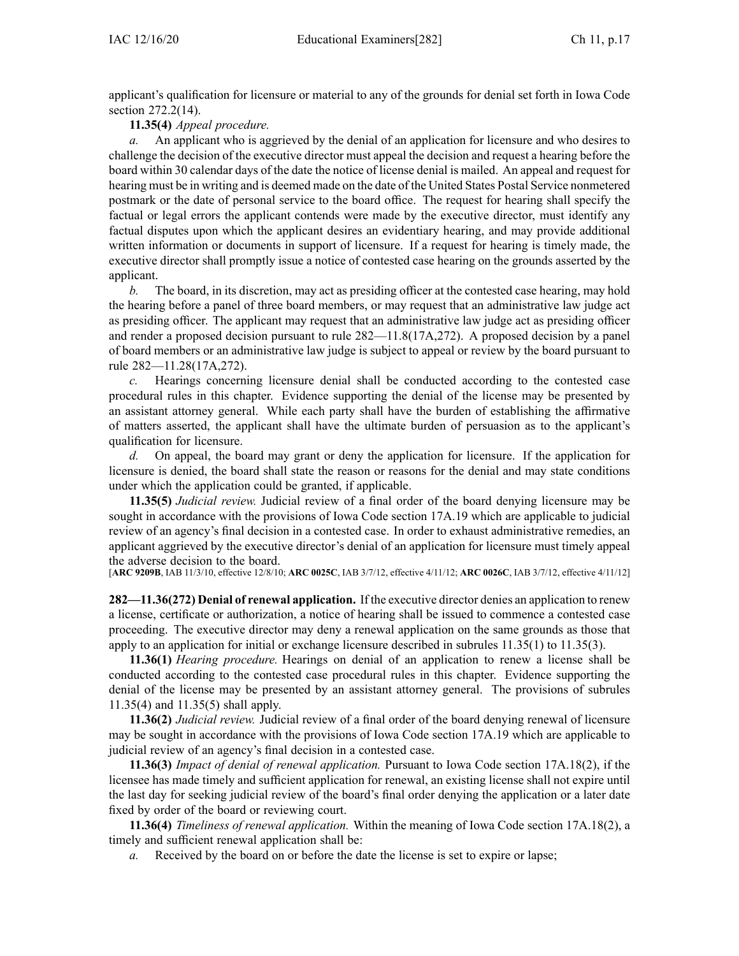applicant's qualification for licensure or material to any of the grounds for denial set forth in Iowa Code section [272.2\(14\)](https://www.legis.iowa.gov/docs/ico/section/272.2.pdf).

## **11.35(4)** *Appeal procedure.*

*a.* An applicant who is aggrieved by the denial of an application for licensure and who desires to challenge the decision of the executive director must appeal the decision and reques<sup>t</sup> <sup>a</sup> hearing before the board within 30 calendar days of the date the notice of license denial is mailed. An appeal and reques<sup>t</sup> for hearing must be in writing and is deemed made on the date of the United States Postal Service nonmetered postmark or the date of personal service to the board office. The reques<sup>t</sup> for hearing shall specify the factual or legal errors the applicant contends were made by the executive director, must identify any factual disputes upon which the applicant desires an evidentiary hearing, and may provide additional written information or documents in suppor<sup>t</sup> of licensure. If <sup>a</sup> reques<sup>t</sup> for hearing is timely made, the executive director shall promptly issue <sup>a</sup> notice of contested case hearing on the grounds asserted by the applicant.

*b.* The board, in its discretion, may act as presiding officer at the contested case hearing, may hold the hearing before <sup>a</sup> panel of three board members, or may reques<sup>t</sup> that an administrative law judge act as presiding officer. The applicant may reques<sup>t</sup> that an administrative law judge act as presiding officer and render <sup>a</sup> proposed decision pursuan<sup>t</sup> to rule [282—11.8\(17A,272\)](https://www.legis.iowa.gov/docs/iac/rule/282.11.8.pdf). A proposed decision by <sup>a</sup> panel of board members or an administrative law judge is subject to appeal or review by the board pursuan<sup>t</sup> to rule [282—11.28\(17A,272\)](https://www.legis.iowa.gov/docs/iac/rule/282.11.28.pdf).

*c.* Hearings concerning licensure denial shall be conducted according to the contested case procedural rules in this chapter. Evidence supporting the denial of the license may be presented by an assistant attorney general. While each party shall have the burden of establishing the affirmative of matters asserted, the applicant shall have the ultimate burden of persuasion as to the applicant's qualification for licensure.

*d.* On appeal, the board may gran<sup>t</sup> or deny the application for licensure. If the application for licensure is denied, the board shall state the reason or reasons for the denial and may state conditions under which the application could be granted, if applicable.

**11.35(5)** *Judicial review.* Judicial review of <sup>a</sup> final order of the board denying licensure may be sought in accordance with the provisions of Iowa Code section [17A.19](https://www.legis.iowa.gov/docs/ico/section/17A.19.pdf) which are applicable to judicial review of an agency's final decision in a contested case. In order to exhaust administrative remedies, an applicant aggrieved by the executive director's denial of an application for licensure must timely appeal the adverse decision to the board.

[**ARC [9209B](https://www.legis.iowa.gov/docs/aco/arc/9209B.pdf)**, IAB 11/3/10, effective 12/8/10; **ARC [0025C](https://www.legis.iowa.gov/docs/aco/arc/0025C.pdf)**, IAB 3/7/12, effective 4/11/12; **ARC [0026C](https://www.legis.iowa.gov/docs/aco/arc/0026C.pdf)**, IAB 3/7/12, effective 4/11/12]

**282—11.36(272) Denial of renewal application.** If the executive director denies an application to renew <sup>a</sup> license, certificate or authorization, <sup>a</sup> notice of hearing shall be issued to commence <sup>a</sup> contested case proceeding. The executive director may deny <sup>a</sup> renewal application on the same grounds as those that apply to an application for initial or exchange licensure described in subrules [11.35\(1\)](https://www.legis.iowa.gov/docs/iac/rule/282.11.35.pdf) to [11.35\(3\)](https://www.legis.iowa.gov/docs/iac/rule/282.11.35.pdf).

**11.36(1)** *Hearing procedure.* Hearings on denial of an application to renew <sup>a</sup> license shall be conducted according to the contested case procedural rules in this chapter. Evidence supporting the denial of the license may be presented by an assistant attorney general. The provisions of subrules [11.35\(4\)](https://www.legis.iowa.gov/docs/iac/rule/282.11.35.pdf) and [11.35\(5\)](https://www.legis.iowa.gov/docs/iac/rule/282.11.35.pdf) shall apply.

**11.36(2)** *Judicial review.* Judicial review of <sup>a</sup> final order of the board denying renewal of licensure may be sought in accordance with the provisions of Iowa Code section [17A.19](https://www.legis.iowa.gov/docs/ico/section/17A.19.pdf) which are applicable to judicial review of an agency's final decision in <sup>a</sup> contested case.

**11.36(3)** *Impact of denial of renewal application.* Pursuant to Iowa Code section [17A.18\(2\)](https://www.legis.iowa.gov/docs/ico/section/17A.18.pdf), if the licensee has made timely and sufficient application for renewal, an existing license shall not expire until the last day for seeking judicial review of the board's final order denying the application or <sup>a</sup> later date fixed by order of the board or reviewing court.

**11.36(4)** *Timeliness of renewal application.* Within the meaning of Iowa Code section [17A.18\(2\)](https://www.legis.iowa.gov/docs/ico/section/17A.18.pdf), <sup>a</sup> timely and sufficient renewal application shall be:

*a.* Received by the board on or before the date the license is set to expire or lapse;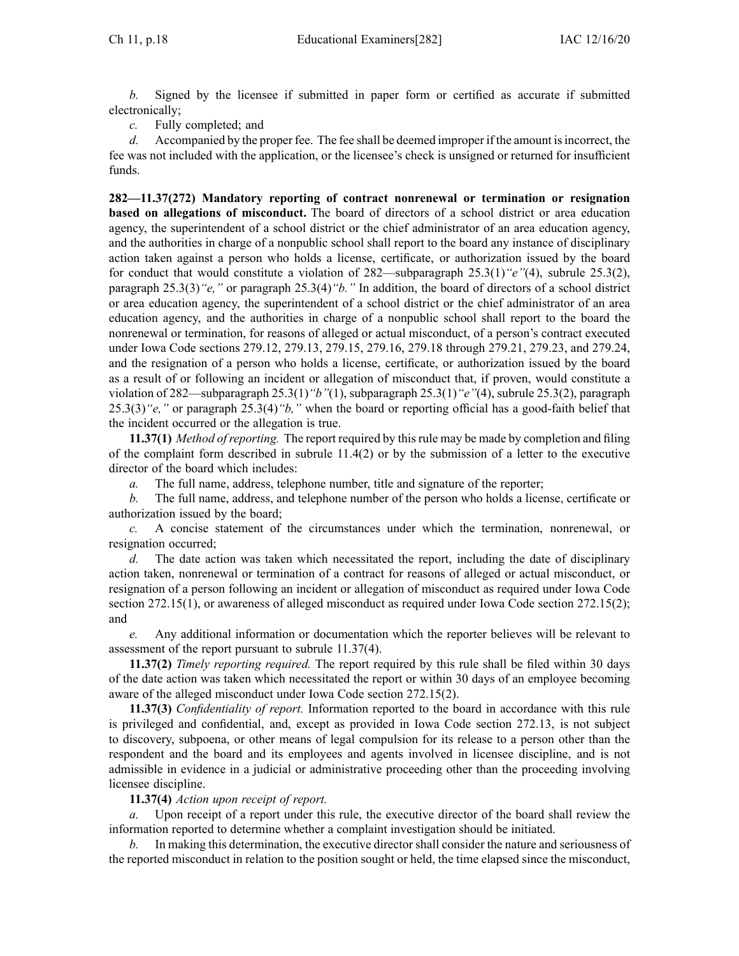*b.* Signed by the licensee if submitted in paper form or certified as accurate if submitted electronically;

*c.* Fully completed; and

*d.* Accompanied by the proper fee. The fee shall be deemed improper if the amount isincorrect, the fee was not included with the application, or the licensee's check is unsigned or returned for insufficient funds.

**282—11.37(272) Mandatory reporting of contract nonrenewal or termination or resignation based on allegations of misconduct.** The board of directors of <sup>a</sup> school district or area education agency, the superintendent of <sup>a</sup> school district or the chief administrator of an area education agency, and the authorities in charge of <sup>a</sup> nonpublic school shall repor<sup>t</sup> to the board any instance of disciplinary action taken against <sup>a</sup> person who holds <sup>a</sup> license, certificate, or authorization issued by the board for conduct that would constitute <sup>a</sup> violation of 282—subparagraph 25.3(1)*"e"*(4), subrule 25.3(2), paragraph 25.3(3)*"e,"* or paragraph 25.3(4)*"b."* In addition, the board of directors of <sup>a</sup> school district or area education agency, the superintendent of <sup>a</sup> school district or the chief administrator of an area education agency, and the authorities in charge of <sup>a</sup> nonpublic school shall repor<sup>t</sup> to the board the nonrenewal or termination, for reasons of alleged or actual misconduct, of <sup>a</sup> person's contract executed under Iowa Code sections [279.12](https://www.legis.iowa.gov/docs/ico/section/279.12.pdf), [279.13](https://www.legis.iowa.gov/docs/ico/section/279.13.pdf), [279.15](https://www.legis.iowa.gov/docs/ico/section/279.15-21.pdf), [279.16](https://www.legis.iowa.gov/docs/ico/section/279.16.pdf), 279.18 [through](https://www.legis.iowa.gov/docs/ico/section/279.18-21.pdf) 279.21, [279.23](https://www.legis.iowa.gov/docs/ico/section/279.23.pdf), and [279.24](https://www.legis.iowa.gov/docs/ico/section/279.24.pdf), and the resignation of <sup>a</sup> person who holds <sup>a</sup> license, certificate, or authorization issued by the board as <sup>a</sup> result of or following an incident or allegation of misconduct that, if proven, would constitute <sup>a</sup> violation of [282—subparagraph](https://www.legis.iowa.gov/docs/iac/rule/282.25.3.pdf) 25.3(1)*"b"*(1), subparagraph 25.3(1)*"e"*(4), subrule 25.3(2), paragraph 25.3(3)*"e,"* or paragraph 25.3(4)*"b,"* when the board or reporting official has <sup>a</sup> good-faith belief that the incident occurred or the allegation is true.

**11.37(1)** *Method ofreporting.* The repor<sup>t</sup> required by thisrule may be made by completion and filing of the complaint form described in subrule [11.4\(2\)](https://www.legis.iowa.gov/docs/iac/rule/282.11.4.pdf) or by the submission of <sup>a</sup> letter to the executive director of the board which includes:

*a.* The full name, address, telephone number, title and signature of the reporter;

*b.* The full name, address, and telephone number of the person who holds <sup>a</sup> license, certificate or authorization issued by the board;

*c.* A concise statement of the circumstances under which the termination, nonrenewal, or resignation occurred;

*d.* The date action was taken which necessitated the report, including the date of disciplinary action taken, nonrenewal or termination of <sup>a</sup> contract for reasons of alleged or actual misconduct, or resignation of <sup>a</sup> person following an incident or allegation of misconduct as required under Iowa Code section [272.15\(1\)](https://www.legis.iowa.gov/docs/ico/section/272.15.pdf), or awareness of alleged misconduct as required under Iowa Code section [272.15\(2\)](https://www.legis.iowa.gov/docs/ico/section/272.15.pdf); and

*e.* Any additional information or documentation which the reporter believes will be relevant to assessment of the repor<sup>t</sup> pursuan<sup>t</sup> to subrule [11.37\(4\)](https://www.legis.iowa.gov/docs/iac/rule/282.11.37.pdf).

**11.37(2)** *Timely reporting required.* The repor<sup>t</sup> required by this rule shall be filed within 30 days of the date action was taken which necessitated the repor<sup>t</sup> or within 30 days of an employee becoming aware of the alleged misconduct under Iowa Code section [272.15\(2\)](https://www.legis.iowa.gov/docs/ico/section/272.15.pdf).

**11.37(3)** *Confidentiality of report.* Information reported to the board in accordance with this rule is privileged and confidential, and, excep<sup>t</sup> as provided in Iowa Code section [272.13](https://www.legis.iowa.gov/docs/ico/section/272.13.pdf), is not subject to discovery, subpoena, or other means of legal compulsion for its release to <sup>a</sup> person other than the respondent and the board and its employees and agents involved in licensee discipline, and is not admissible in evidence in <sup>a</sup> judicial or administrative proceeding other than the proceeding involving licensee discipline.

## **11.37(4)** *Action upon receipt of report.*

Upon receipt of a report under this rule, the executive director of the board shall review the information reported to determine whether <sup>a</sup> complaint investigation should be initiated.

In making this determination, the executive director shall consider the nature and seriousness of the reported misconduct in relation to the position sought or held, the time elapsed since the misconduct,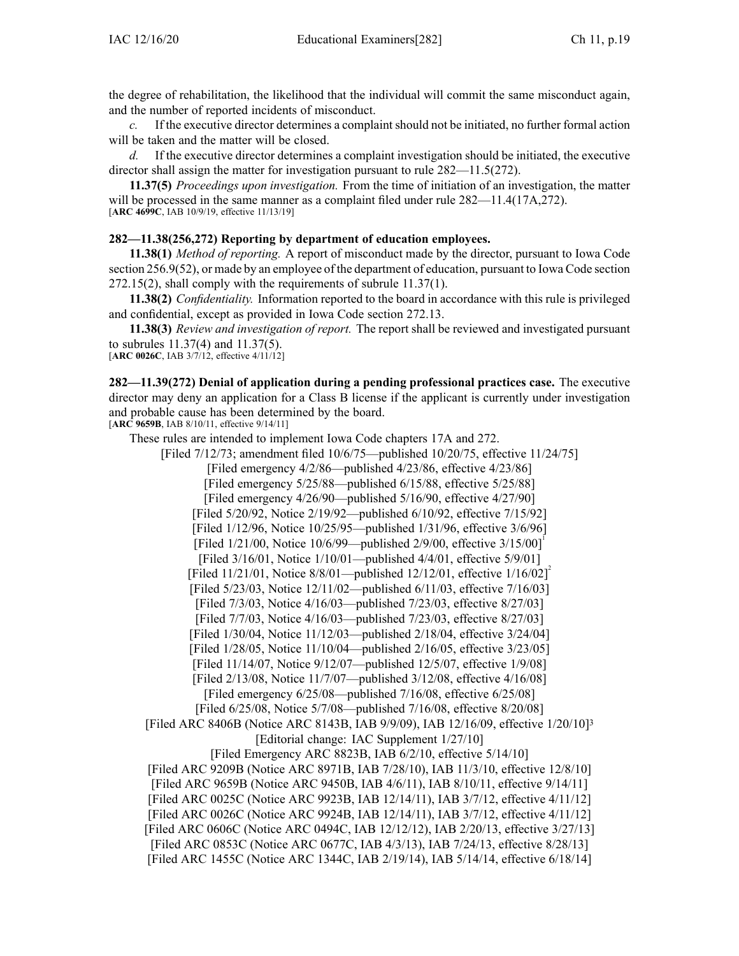the degree of rehabilitation, the likelihood that the individual will commit the same misconduct again, and the number of reported incidents of misconduct.

*c.* If the executive director determines a complaint should not be initiated, no further formal action will be taken and the matter will be closed.

*d.* If the executive director determines <sup>a</sup> complaint investigation should be initiated, the executive director shall assign the matter for investigation pursuan<sup>t</sup> to rule [282—11.5\(272\)](https://www.legis.iowa.gov/docs/iac/rule/282.11.5.pdf).

**11.37(5)** *Proceedings upon investigation.* From the time of initiation of an investigation, the matter will be processed in the same manner as a complaint filed under rule  $282 - 11.4(17A,272)$ . [**ARC [4699C](https://www.legis.iowa.gov/docs/aco/arc/4699C.pdf)**, IAB 10/9/19, effective 11/13/19]

## **282—11.38(256,272) Reporting by department of education employees.**

**11.38(1)** *Method of reporting.* A repor<sup>t</sup> of misconduct made by the director, pursuan<sup>t</sup> to Iowa Code section [256.9\(52\)](https://www.legis.iowa.gov/docs/ico/section/256.9.pdf), or made by an employee of the department of education, pursuan<sup>t</sup> to Iowa Code section [272.15\(2\)](https://www.legis.iowa.gov/docs/ico/section/272.15.pdf), shall comply with the requirements of subrule [11.37\(1\)](https://www.legis.iowa.gov/docs/iac/rule/282.11.37.pdf).

**11.38(2)** *Confidentiality.* Information reported to the board in accordance with this rule is privileged and confidential, excep<sup>t</sup> as provided in Iowa Code section [272.13](https://www.legis.iowa.gov/docs/ico/section/272.13.pdf).

**11.38(3)** *Review and investigation of report.* The repor<sup>t</sup> shall be reviewed and investigated pursuan<sup>t</sup> to subrules [11.37\(4\)](https://www.legis.iowa.gov/docs/iac/rule/282.11.37.pdf) and [11.37\(5\)](https://www.legis.iowa.gov/docs/iac/rule/282.11.37.pdf).

[**ARC [0026C](https://www.legis.iowa.gov/docs/aco/arc/0026C.pdf)**, IAB 3/7/12, effective 4/11/12]

**282—11.39(272) Denial of application during <sup>a</sup> pending professional practices case.** The executive director may deny an application for <sup>a</sup> Class B license if the applicant is currently under investigation and probable cause has been determined by the board. [**ARC [9659B](https://www.legis.iowa.gov/docs/aco/arc/9659B.pdf)**, IAB 8/10/11, effective 9/14/11]

[Filed 7/12/73; amendment filed 10/6/75—published 10/20/75, effective 11/24/75]

These rules are intended to implement Iowa Code chapters [17A](https://www.legis.iowa.gov/docs/ico/chapter/17A.pdf) and [272](https://www.legis.iowa.gov/docs/ico/chapter/272.pdf).

[Filed emergency 4/2/86—published 4/23/86, effective 4/23/86] [Filed emergency 5/25/88—published 6/15/88, effective 5/25/88] [Filed emergency 4/26/90—published 5/16/90, effective 4/27/90] [Filed 5/20/92, Notice 2/19/92—published 6/10/92, effective 7/15/92] [Filed 1/12/96, Notice 10/25/95—published 1/31/96, effective 3/6/96] [Filed 1/21/00, Notice 10/6/99—published 2/9/00, effective 3/15/00] [Filed 3/16/01, Notice 1/10/01—published 4/4/01, effective 5/9/01] [Filed 11/21/01, Notice 8/8/01—published 12/12/01, effective  $1/16/02$ ]<sup>2</sup> [Filed 5/23/03, Notice 12/11/02—published 6/11/03, effective 7/16/03] [Filed 7/3/03, Notice 4/16/03—published 7/23/03, effective 8/27/03] [Filed 7/7/03, Notice 4/16/03—published 7/23/03, effective 8/27/03] [Filed 1/30/04, Notice 11/12/03—published 2/18/04, effective 3/24/04] [Filed 1/28/05, Notice 11/10/04—published 2/16/05, effective 3/23/05] [Filed 11/14/07, Notice 9/12/07—published 12/5/07, effective 1/9/08] [Filed 2/13/08, Notice 11/7/07—published 3/12/08, effective 4/16/08] [Filed emergency 6/25/08—published 7/16/08, effective 6/25/08] [Filed 6/25/08, Notice 5/7/08—published 7/16/08, effective 8/20/08] [Filed ARC [8406B](https://www.legis.iowa.gov/docs/aco/arc/8406B.pdf) [\(Notice](https://www.legis.iowa.gov/docs/aco/arc/8143B.pdf) ARC 8143B, IAB 9/9/09), IAB 12/16/09, effective 1/20/10]<sup>3</sup> [Editorial change: IAC Supplement 1/27/10] [Filed [Emergency](https://www.legis.iowa.gov/docs/aco/arc/8823B.pdf) ARC 8823B, IAB 6/2/10, effective 5/14/10] [[Filed](https://www.legis.iowa.gov/docs/aco/arc/9209B.pdf) ARC 9209B [\(Notice](https://www.legis.iowa.gov/docs/aco/arc/8971B.pdf) ARC 8971B, IAB 7/28/10), IAB 11/3/10, effective 12/8/10] [Filed ARC [9659B](https://www.legis.iowa.gov/docs/aco/arc/9659B.pdf) [\(Notice](https://www.legis.iowa.gov/docs/aco/arc/9450B.pdf) ARC 9450B, IAB 4/6/11), IAB 8/10/11, effective 9/14/11] [[Filed](https://www.legis.iowa.gov/docs/aco/arc/0025C.pdf) ARC 0025C ([Notice](https://www.legis.iowa.gov/docs/aco/arc/9923B.pdf) ARC 9923B, IAB 12/14/11), IAB 3/7/12, effective 4/11/12] [[Filed](https://www.legis.iowa.gov/docs/aco/arc/0026C.pdf) ARC 0026C ([Notice](https://www.legis.iowa.gov/docs/aco/arc/9924B.pdf) ARC 9924B, IAB 12/14/11), IAB 3/7/12, effective 4/11/12] [[Filed](https://www.legis.iowa.gov/docs/aco/arc/0606C.pdf) ARC 0606C ([Notice](https://www.legis.iowa.gov/docs/aco/arc/0494C.pdf) ARC 0494C, IAB 12/12/12), IAB 2/20/13, effective 3/27/13] [[Filed](https://www.legis.iowa.gov/docs/aco/arc/0853C.pdf) ARC 0853C ([Notice](https://www.legis.iowa.gov/docs/aco/arc/0677C.pdf) ARC 0677C, IAB 4/3/13), IAB 7/24/13, effective 8/28/13] [Filed ARC [1455C](https://www.legis.iowa.gov/docs/aco/arc/1455C.pdf) ([Notice](https://www.legis.iowa.gov/docs/aco/arc/1344C.pdf) ARC 1344C, IAB 2/19/14), IAB 5/14/14, effective 6/18/14]